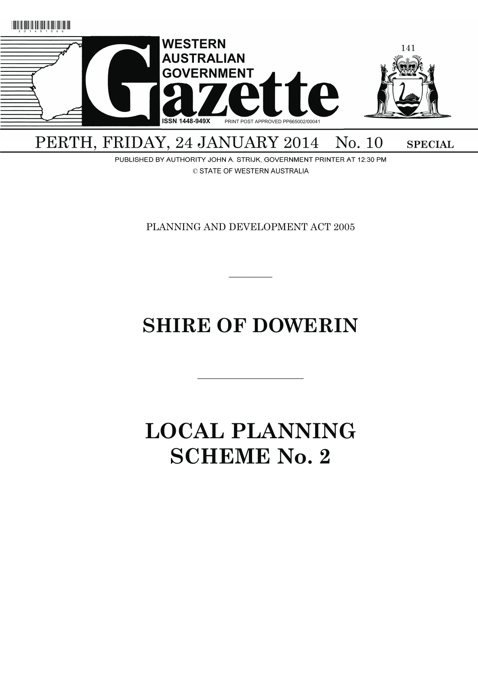

PERTH, FRIDAY, 24 JANUARY 2014 No. 10 **SPECIAL** 

PUBLISHED BY AUTHORITY JOHN A. STRIJK, GOVERNMENT PRINTER AT 12:30 PM © STATE OF WESTERN AUSTRALIA

PLANNING AND DEVELOPMENT ACT 2005

 $\overline{\phantom{a}}$ 

# **SHIRE OF DOWERIN**

———————————

# **LOCAL PLANNING SCHEME No. 2**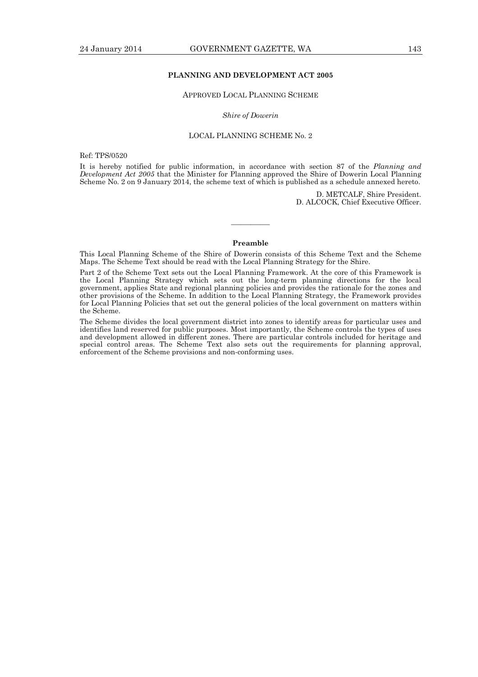# **PLANNING AND DEVELOPMENT ACT 2005**

# APPROVED LOCAL PLANNING SCHEME

#### *Shire of Dowerin*

# LOCAL PLANNING SCHEME No. 2

Ref: TPS/0520

It is hereby notified for public information, in accordance with section 87 of the *Planning and Development Act 2005* that the Minister for Planning approved the Shire of Dowerin Local Planning Scheme No. 2 on 9 January 2014, the scheme text of which is published as a schedule annexed hereto.

> D. METCALF, Shire President. D. ALCOCK, Chief Executive Officer.

### **Preamble**

————

This Local Planning Scheme of the Shire of Dowerin consists of this Scheme Text and the Scheme Maps. The Scheme Text should be read with the Local Planning Strategy for the Shire.

Part 2 of the Scheme Text sets out the Local Planning Framework. At the core of this Framework is the Local Planning Strategy which sets out the long-term planning directions for the local government, applies State and regional planning policies and provides the rationale for the zones and other provisions of the Scheme. In addition to the Local Planning Strategy, the Framework provides for Local Planning Policies that set out the general policies of the local government on matters within the Scheme.

The Scheme divides the local government district into zones to identify areas for particular uses and identifies land reserved for public purposes. Most importantly, the Scheme controls the types of uses and development allowed in different zones. There are particular controls included for heritage and special control areas. The Scheme Text also sets out the requirements for planning approval, enforcement of the Scheme provisions and non-conforming uses.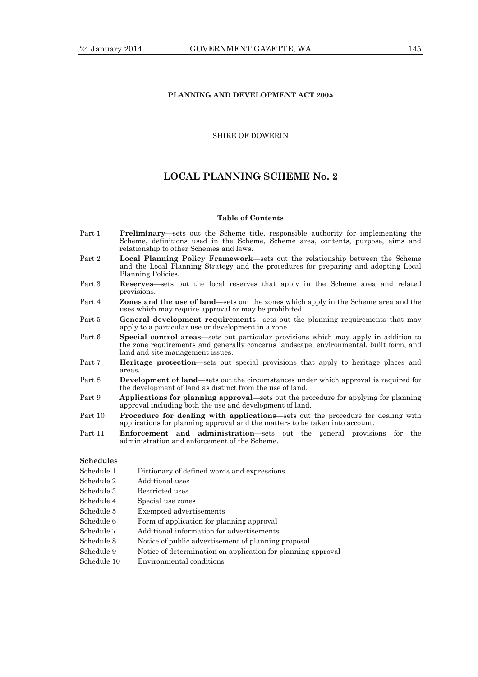# **PLANNING AND DEVELOPMENT ACT 2005**

# SHIRE OF DOWERIN

# **LOCAL PLANNING SCHEME No. 2**

#### **Table of Contents**

- Part 1 **Preliminary**—sets out the Scheme title, responsible authority for implementing the Scheme, definitions used in the Scheme, Scheme area, contents, purpose, aims and relationship to other Schemes and laws.
- Part 2 **Local Planning Policy Framework—**sets out the relationship between the Scheme and the Local Planning Strategy and the procedures for preparing and adopting Local Planning Policies.
- Part 3 **Reserves**—sets out the local reserves that apply in the Scheme area and related provisions.
- Part 4 **Zones and the use of land**—sets out the zones which apply in the Scheme area and the uses which may require approval or may be prohibited.
- Part 5 **General development requirements**—sets out the planning requirements that may apply to a particular use or development in a zone.
- Part 6 **Special control areas**—sets out particular provisions which may apply in addition to the zone requirements and generally concerns landscape, environmental, built form, and land and site management issues.
- Part 7 **Heritage protection**—sets out special provisions that apply to heritage places and areas.
- Part 8 **Development of land**—sets out the circumstances under which approval is required for the development of land as distinct from the use of land.
- Part 9 **Applications for planning approval**—sets out the procedure for applying for planning approval including both the use and development of land.
- Part 10 **Procedure for dealing with applications**—sets out the procedure for dealing with applications for planning approval and the matters to be taken into account.
- Part 11 **Enforcement and administration**—sets out the general provisions for the administration and enforcement of the Scheme.

# **Schedules**

- Schedule 1 Dictionary of defined words and expressions
- Schedule 2 Additional uses
- Schedule 3 Restricted uses
- Schedule 4 Special use zones
- Schedule 5 Exempted advertisements
- Schedule 6 Form of application for planning approval
- Schedule 7 Additional information for advertisements
- Schedule 8 Notice of public advertisement of planning proposal
- Schedule 9 Notice of determination on application for planning approval
- Schedule 10 Environmental conditions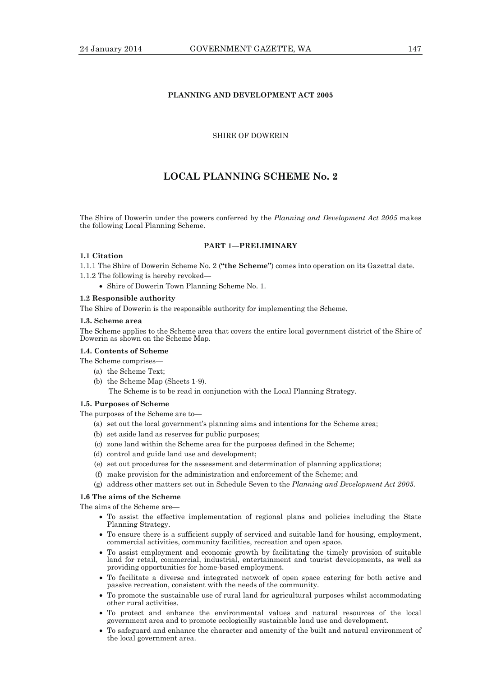# **PLANNING AND DEVELOPMENT ACT 2005**

# SHIRE OF DOWERIN

# **LOCAL PLANNING SCHEME No. 2**

The Shire of Dowerin under the powers conferred by the *Planning and Development Act 2005* makes the following Local Planning Scheme.

## **PART 1—PRELIMINARY**

# **1.1 Citation**

1.1.1 The Shire of Dowerin Scheme No. 2 (**"the Scheme"**) comes into operation on its Gazettal date.

1.1.2 The following is hereby revoked—

Shire of Dowerin Town Planning Scheme No. 1.

#### **1.2 Responsible authority**

The Shire of Dowerin is the responsible authority for implementing the Scheme.

#### **1.3. Scheme area**

The Scheme applies to the Scheme area that covers the entire local government district of the Shire of Dowerin as shown on the Scheme Map.

#### **1.4. Contents of Scheme**

The Scheme comprises—

- (a) the Scheme Text;
- (b) the Scheme Map (Sheets 1-9). The Scheme is to be read in conjunction with the Local Planning Strategy.

## **1.5. Purposes of Scheme**

The purposes of the Scheme are to—

- (a) set out the local government's planning aims and intentions for the Scheme area;
- (b) set aside land as reserves for public purposes;
- (c) zone land within the Scheme area for the purposes defined in the Scheme;
- (d) control and guide land use and development;
- (e) set out procedures for the assessment and determination of planning applications;
- (f) make provision for the administration and enforcement of the Scheme; and
- (g) address other matters set out in Schedule Seven to the *Planning and Development Act 2005*.

# **1.6 The aims of the Scheme**

The aims of the Scheme are-

- To assist the effective implementation of regional plans and policies including the State Planning Strategy.
- To ensure there is a sufficient supply of serviced and suitable land for housing, employment, commercial activities, community facilities, recreation and open space.
- To assist employment and economic growth by facilitating the timely provision of suitable land for retail, commercial, industrial, entertainment and tourist developments, as well as providing opportunities for home-based employment.
- To facilitate a diverse and integrated network of open space catering for both active and passive recreation, consistent with the needs of the community.
- To promote the sustainable use of rural land for agricultural purposes whilst accommodating other rural activities.
- To protect and enhance the environmental values and natural resources of the local government area and to promote ecologically sustainable land use and development.
- To safeguard and enhance the character and amenity of the built and natural environment of the local government area.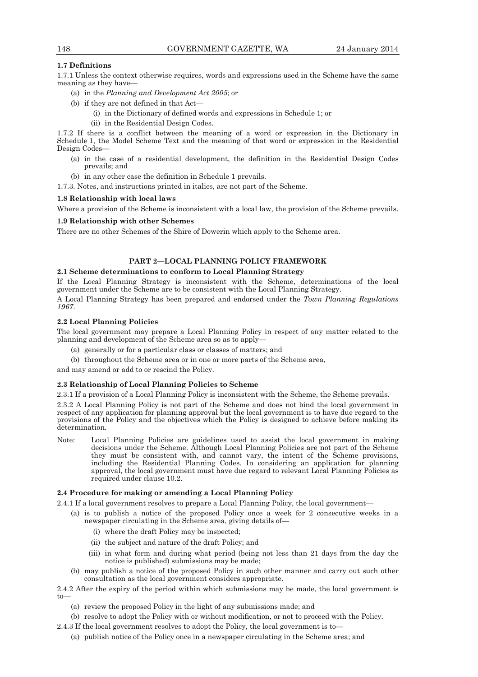# **1.7 Definitions**

1.7.1 Unless the context otherwise requires, words and expressions used in the Scheme have the same meaning as they have—

- (a) in the *Planning and Development Act 2005*; or
- (b) if they are not defined in that Act—
	- (i) in the Dictionary of defined words and expressions in Schedule 1; or
	- (ii) in the Residential Design Codes.

1.7.2 If there is a conflict between the meaning of a word or expression in the Dictionary in Schedule 1, the Model Scheme Text and the meaning of that word or expression in the Residential Design Codes—

- (a) in the case of a residential development, the definition in the Residential Design Codes prevails; and
- (b) in any other case the definition in Schedule 1 prevails.

1.7.3. Notes, and instructions printed in italics, are not part of the Scheme.

# **1.8 Relationship with local laws**

Where a provision of the Scheme is inconsistent with a local law, the provision of the Scheme prevails.

# **1.9 Relationship with other Schemes**

There are no other Schemes of the Shire of Dowerin which apply to the Scheme area.

# **PART 2—LOCAL PLANNING POLICY FRAMEWORK**

# **2.1 Scheme determinations to conform to Local Planning Strategy**

If the Local Planning Strategy is inconsistent with the Scheme, determinations of the local government under the Scheme are to be consistent with the Local Planning Strategy.

A Local Planning Strategy has been prepared and endorsed under the *Town Planning Regulations 1967*.

# **2.2 Local Planning Policies**

The local government may prepare a Local Planning Policy in respect of any matter related to the planning and development of the Scheme area so as to apply—

- (a) generally or for a particular class or classes of matters; and
- (b) throughout the Scheme area or in one or more parts of the Scheme area,

and may amend or add to or rescind the Policy.

#### **2.3 Relationship of Local Planning Policies to Scheme**

2.3.1 If a provision of a Local Planning Policy is inconsistent with the Scheme, the Scheme prevails. 2.3.2 A Local Planning Policy is not part of the Scheme and does not bind the local government in respect of any application for planning approval but the local government is to have due regard to the provisions of the Policy and the objectives which the Policy is designed to achieve before making its determination.

Note: Local Planning Policies are guidelines used to assist the local government in making decisions under the Scheme. Although Local Planning Policies are not part of the Scheme they must be consistent with, and cannot vary, the intent of the Scheme provisions, including the Residential Planning Codes. In considering an application for planning approval, the local government must have due regard to relevant Local Planning Policies as required under clause 10.2.

#### **2.4 Procedure for making or amending a Local Planning Policy**

- 2.4.1 If a local government resolves to prepare a Local Planning Policy, the local government—
	- (a) is to publish a notice of the proposed Policy once a week for 2 consecutive weeks in a newspaper circulating in the Scheme area, giving details of—
		- (i) where the draft Policy may be inspected;
		- (ii) the subject and nature of the draft Policy; and
		- (iii) in what form and during what period (being not less than 21 days from the day the notice is published) submissions may be made;
	- (b) may publish a notice of the proposed Policy in such other manner and carry out such other consultation as the local government considers appropriate.

2.4.2 After the expiry of the period within which submissions may be made, the local government is to—

- (a) review the proposed Policy in the light of any submissions made; and
- (b) resolve to adopt the Policy with or without modification, or not to proceed with the Policy.
- 2.4.3 If the local government resolves to adopt the Policy, the local government is to—
	- (a) publish notice of the Policy once in a newspaper circulating in the Scheme area; and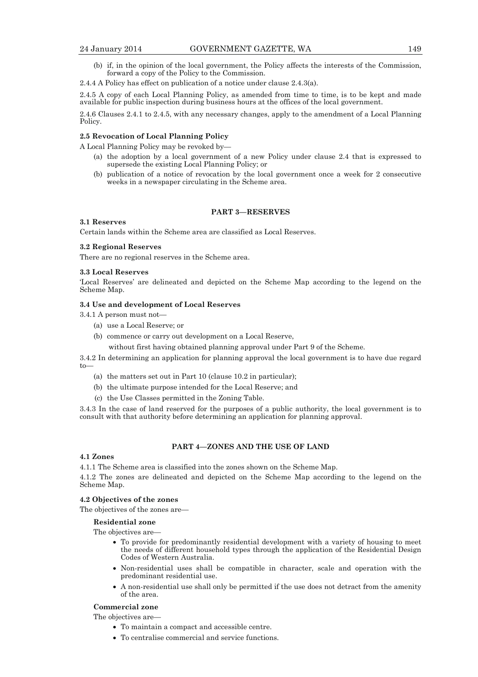- (b) if, in the opinion of the local government, the Policy affects the interests of the Commission, forward a copy of the Policy to the Commission.
- 2.4.4 A Policy has effect on publication of a notice under clause 2.4.3(a).

2.4.5 A copy of each Local Planning Policy, as amended from time to time, is to be kept and made available for public inspection during business hours at the offices of the local government.

2.4.6 Clauses 2.4.1 to 2.4.5, with any necessary changes, apply to the amendment of a Local Planning Policy.

# **2.5 Revocation of Local Planning Policy**

A Local Planning Policy may be revoked by—

- (a) the adoption by a local government of a new Policy under clause 2.4 that is expressed to supersede the existing Local Planning Policy; or
- (b) publication of a notice of revocation by the local government once a week for 2 consecutive weeks in a newspaper circulating in the Scheme area.

## **PART 3—RESERVES**

#### **3.1 Reserves**

Certain lands within the Scheme area are classified as Local Reserves.

# **3.2 Regional Reserves**

There are no regional reserves in the Scheme area.

#### **3.3 Local Reserves**

'Local Reserves' are delineated and depicted on the Scheme Map according to the legend on the Scheme Map.

# **3.4 Use and development of Local Reserves**

3.4.1 A person must not—

- (a) use a Local Reserve; or
- (b) commence or carry out development on a Local Reserve,

without first having obtained planning approval under Part 9 of the Scheme.

3.4.2 In determining an application for planning approval the local government is to have due regard to—

- (a) the matters set out in Part 10 (clause 10.2 in particular);
- (b) the ultimate purpose intended for the Local Reserve; and
- (c) the Use Classes permitted in the Zoning Table.

3.4.3 In the case of land reserved for the purposes of a public authority, the local government is to consult with that authority before determining an application for planning approval.

#### **PART 4—ZONES AND THE USE OF LAND**

#### **4.1 Zones**

4.1.1 The Scheme area is classified into the zones shown on the Scheme Map.

4.1.2 The zones are delineated and depicted on the Scheme Map according to the legend on the Scheme Map.

# **4.2 Objectives of the zones**

The objectives of the zones are—

#### **Residential zone**

The objectives are—

- To provide for predominantly residential development with a variety of housing to meet the needs of different household types through the application of the Residential Design Codes of Western Australia.
- Non-residential uses shall be compatible in character, scale and operation with the predominant residential use.
- A non-residential use shall only be permitted if the use does not detract from the amenity of the area.

# **Commercial zone**

The objectives are—

- To maintain a compact and accessible centre.
- To centralise commercial and service functions.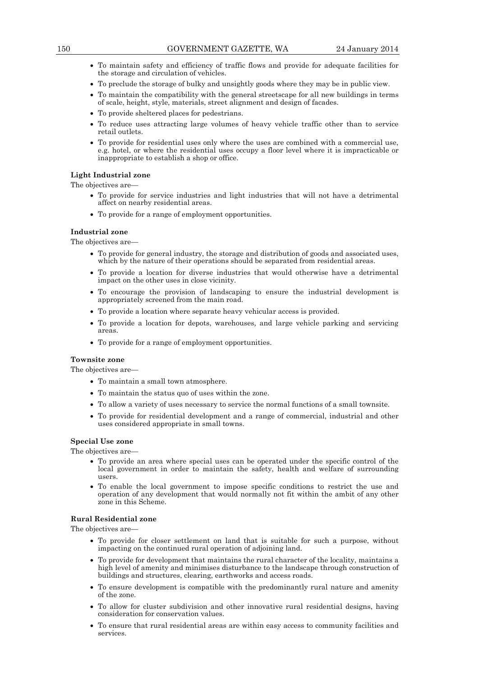- To maintain safety and efficiency of traffic flows and provide for adequate facilities for the storage and circulation of vehicles.
- To preclude the storage of bulky and unsightly goods where they may be in public view.
- To maintain the compatibility with the general streetscape for all new buildings in terms of scale, height, style, materials, street alignment and design of facades.
- To provide sheltered places for pedestrians.
- To reduce uses attracting large volumes of heavy vehicle traffic other than to service retail outlets.
- To provide for residential uses only where the uses are combined with a commercial use, e.g. hotel, or where the residential uses occupy a floor level where it is impracticable or inappropriate to establish a shop or office.

## **Light Industrial zone**

The objectives are—

- To provide for service industries and light industries that will not have a detrimental affect on nearby residential areas.
- To provide for a range of employment opportunities.

# **Industrial zone**

The objectives are-

- To provide for general industry, the storage and distribution of goods and associated uses, which by the nature of their operations should be separated from residential areas.
- To provide a location for diverse industries that would otherwise have a detrimental impact on the other uses in close vicinity.
- To encourage the provision of landscaping to ensure the industrial development is appropriately screened from the main road.
- To provide a location where separate heavy vehicular access is provided.
- To provide a location for depots, warehouses, and large vehicle parking and servicing areas.
- To provide for a range of employment opportunities.

# **Townsite zone**

The objectives are—

- To maintain a small town atmosphere.
- To maintain the status quo of uses within the zone.
- To allow a variety of uses necessary to service the normal functions of a small townsite.
- To provide for residential development and a range of commercial, industrial and other uses considered appropriate in small towns.

## **Special Use zone**

The objectives are—

- To provide an area where special uses can be operated under the specific control of the local government in order to maintain the safety, health and welfare of surrounding users.
- To enable the local government to impose specific conditions to restrict the use and operation of any development that would normally not fit within the ambit of any other zone in this Scheme.

# **Rural Residential zone**

The objectives are—

- To provide for closer settlement on land that is suitable for such a purpose, without impacting on the continued rural operation of adjoining land.
- To provide for development that maintains the rural character of the locality, maintains a high level of amenity and minimises disturbance to the landscape through construction of buildings and structures, clearing, earthworks and access roads.
- To ensure development is compatible with the predominantly rural nature and amenity of the zone.
- To allow for cluster subdivision and other innovative rural residential designs, having consideration for conservation values.
- To ensure that rural residential areas are within easy access to community facilities and services.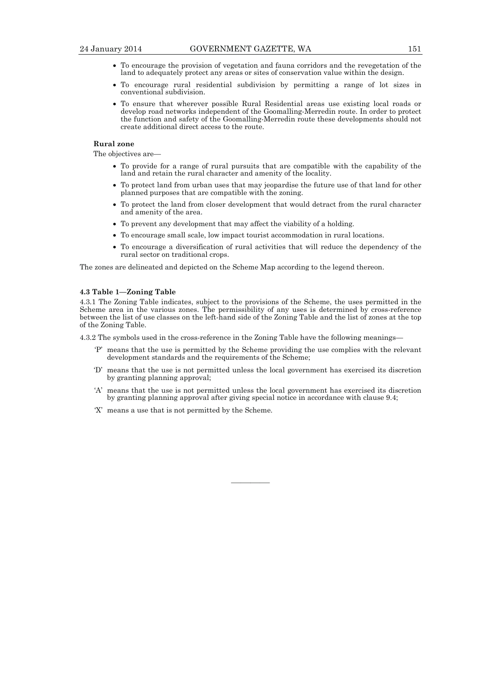- To encourage the provision of vegetation and fauna corridors and the revegetation of the land to adequately protect any areas or sites of conservation value within the design.
- To encourage rural residential subdivision by permitting a range of lot sizes in conventional subdivision.
- To ensure that wherever possible Rural Residential areas use existing local roads or develop road networks independent of the Goomalling-Merredin route. In order to protect the function and safety of the Goomalling-Merredin route these developments should not create additional direct access to the route.

# **Rural zone**

The objectives are—

- To provide for a range of rural pursuits that are compatible with the capability of the land and retain the rural character and amenity of the locality.
- To protect land from urban uses that may jeopardise the future use of that land for other planned purposes that are compatible with the zoning.
- To protect the land from closer development that would detract from the rural character and amenity of the area.
- To prevent any development that may affect the viability of a holding.
- To encourage small scale, low impact tourist accommodation in rural locations.
- To encourage a diversification of rural activities that will reduce the dependency of the rural sector on traditional crops.

The zones are delineated and depicted on the Scheme Map according to the legend thereon.

#### **4.3 Table 1—Zoning Table**

4.3.1 The Zoning Table indicates, subject to the provisions of the Scheme, the uses permitted in the Scheme area in the various zones. The permissibility of any uses is determined by cross-reference between the list of use classes on the left-hand side of the Zoning Table and the list of zones at the top of the Zoning Table.

4.3.2 The symbols used in the cross-reference in the Zoning Table have the following meanings—

- 'P' means that the use is permitted by the Scheme providing the use complies with the relevant development standards and the requirements of the Scheme;
- 'D' means that the use is not permitted unless the local government has exercised its discretion by granting planning approval;
- 'A' means that the use is not permitted unless the local government has exercised its discretion by granting planning approval after giving special notice in accordance with clause 9.4;

————

'X' means a use that is not permitted by the Scheme.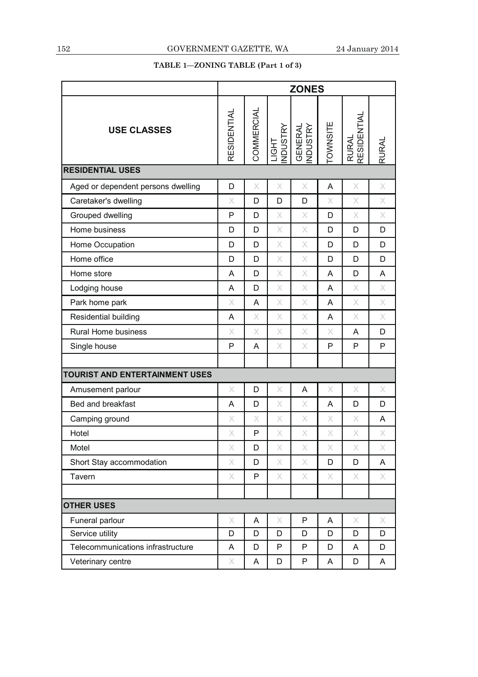# **TABLE 1—ZONING TABLE (Part 1 of 3)**

|                                    | <b>ZONES</b>                                                                                                                                                                                                                                                                                                                                                                                                                                             |              |                                                                                                                                                                                                                                                                                                                                                                                                                                                          |                            |                                                                                                                                                                                                                                                                                                                                                                                                                                                          |                                                                                                                                                                                                                                                                                                                                                                                                                                                          |                                                                                                                                                                |
|------------------------------------|----------------------------------------------------------------------------------------------------------------------------------------------------------------------------------------------------------------------------------------------------------------------------------------------------------------------------------------------------------------------------------------------------------------------------------------------------------|--------------|----------------------------------------------------------------------------------------------------------------------------------------------------------------------------------------------------------------------------------------------------------------------------------------------------------------------------------------------------------------------------------------------------------------------------------------------------------|----------------------------|----------------------------------------------------------------------------------------------------------------------------------------------------------------------------------------------------------------------------------------------------------------------------------------------------------------------------------------------------------------------------------------------------------------------------------------------------------|----------------------------------------------------------------------------------------------------------------------------------------------------------------------------------------------------------------------------------------------------------------------------------------------------------------------------------------------------------------------------------------------------------------------------------------------------------|----------------------------------------------------------------------------------------------------------------------------------------------------------------|
| <b>USE CLASSES</b>                 | RESIDENTIAL                                                                                                                                                                                                                                                                                                                                                                                                                                              | COMMERCIAL   | LIGHT<br>INDUSTRY                                                                                                                                                                                                                                                                                                                                                                                                                                        | <b>GENERAL</b><br>INDUSTRY | <b>TOWNSITE</b>                                                                                                                                                                                                                                                                                                                                                                                                                                          | <b>RESIDENTIAL</b><br><b>RURAL</b>                                                                                                                                                                                                                                                                                                                                                                                                                       | <b>RURAL</b>                                                                                                                                                   |
| <b>RESIDENTIAL USES</b>            |                                                                                                                                                                                                                                                                                                                                                                                                                                                          |              |                                                                                                                                                                                                                                                                                                                                                                                                                                                          |                            |                                                                                                                                                                                                                                                                                                                                                                                                                                                          |                                                                                                                                                                                                                                                                                                                                                                                                                                                          |                                                                                                                                                                |
| Aged or dependent persons dwelling | D                                                                                                                                                                                                                                                                                                                                                                                                                                                        | X            | X                                                                                                                                                                                                                                                                                                                                                                                                                                                        | X                          | A                                                                                                                                                                                                                                                                                                                                                                                                                                                        | X                                                                                                                                                                                                                                                                                                                                                                                                                                                        | $\times$                                                                                                                                                       |
| Caretaker's dwelling               | X                                                                                                                                                                                                                                                                                                                                                                                                                                                        | D            | D                                                                                                                                                                                                                                                                                                                                                                                                                                                        | D                          | X                                                                                                                                                                                                                                                                                                                                                                                                                                                        | $\times$                                                                                                                                                                                                                                                                                                                                                                                                                                                 | X                                                                                                                                                              |
| Grouped dwelling                   | P                                                                                                                                                                                                                                                                                                                                                                                                                                                        | D            | $\times$                                                                                                                                                                                                                                                                                                                                                                                                                                                 | X                          | D                                                                                                                                                                                                                                                                                                                                                                                                                                                        | X                                                                                                                                                                                                                                                                                                                                                                                                                                                        | X                                                                                                                                                              |
| Home business                      | D                                                                                                                                                                                                                                                                                                                                                                                                                                                        | D            | $\times$                                                                                                                                                                                                                                                                                                                                                                                                                                                 | $\times$                   | D                                                                                                                                                                                                                                                                                                                                                                                                                                                        | D                                                                                                                                                                                                                                                                                                                                                                                                                                                        | D                                                                                                                                                              |
| Home Occupation                    | D                                                                                                                                                                                                                                                                                                                                                                                                                                                        | D            | X                                                                                                                                                                                                                                                                                                                                                                                                                                                        | X                          | D                                                                                                                                                                                                                                                                                                                                                                                                                                                        | D                                                                                                                                                                                                                                                                                                                                                                                                                                                        | D                                                                                                                                                              |
| Home office                        | D                                                                                                                                                                                                                                                                                                                                                                                                                                                        | D            | $\times$                                                                                                                                                                                                                                                                                                                                                                                                                                                 | $\times$                   | D                                                                                                                                                                                                                                                                                                                                                                                                                                                        | D                                                                                                                                                                                                                                                                                                                                                                                                                                                        | D                                                                                                                                                              |
| Home store                         | A                                                                                                                                                                                                                                                                                                                                                                                                                                                        | D            | $\times$                                                                                                                                                                                                                                                                                                                                                                                                                                                 | X                          | A                                                                                                                                                                                                                                                                                                                                                                                                                                                        | D                                                                                                                                                                                                                                                                                                                                                                                                                                                        | A                                                                                                                                                              |
| Lodging house                      | A                                                                                                                                                                                                                                                                                                                                                                                                                                                        | D            | X                                                                                                                                                                                                                                                                                                                                                                                                                                                        | X                          | A                                                                                                                                                                                                                                                                                                                                                                                                                                                        | X                                                                                                                                                                                                                                                                                                                                                                                                                                                        | $\times$                                                                                                                                                       |
| Park home park                     | X                                                                                                                                                                                                                                                                                                                                                                                                                                                        | A            | $\times$                                                                                                                                                                                                                                                                                                                                                                                                                                                 | X                          | A                                                                                                                                                                                                                                                                                                                                                                                                                                                        | X                                                                                                                                                                                                                                                                                                                                                                                                                                                        | $\times$                                                                                                                                                       |
| Residential building               | A                                                                                                                                                                                                                                                                                                                                                                                                                                                        | X            | X                                                                                                                                                                                                                                                                                                                                                                                                                                                        | X                          | A                                                                                                                                                                                                                                                                                                                                                                                                                                                        | X                                                                                                                                                                                                                                                                                                                                                                                                                                                        | $\times$                                                                                                                                                       |
| Rural Home business                | X                                                                                                                                                                                                                                                                                                                                                                                                                                                        | X            | X                                                                                                                                                                                                                                                                                                                                                                                                                                                        | X                          | X                                                                                                                                                                                                                                                                                                                                                                                                                                                        | A                                                                                                                                                                                                                                                                                                                                                                                                                                                        | D                                                                                                                                                              |
| Single house                       | P                                                                                                                                                                                                                                                                                                                                                                                                                                                        | A            | X                                                                                                                                                                                                                                                                                                                                                                                                                                                        | X                          | P                                                                                                                                                                                                                                                                                                                                                                                                                                                        | P                                                                                                                                                                                                                                                                                                                                                                                                                                                        | P                                                                                                                                                              |
|                                    |                                                                                                                                                                                                                                                                                                                                                                                                                                                          |              |                                                                                                                                                                                                                                                                                                                                                                                                                                                          |                            |                                                                                                                                                                                                                                                                                                                                                                                                                                                          |                                                                                                                                                                                                                                                                                                                                                                                                                                                          |                                                                                                                                                                |
| TOURIST AND ENTERTAINMENT USES     |                                                                                                                                                                                                                                                                                                                                                                                                                                                          |              |                                                                                                                                                                                                                                                                                                                                                                                                                                                          |                            |                                                                                                                                                                                                                                                                                                                                                                                                                                                          |                                                                                                                                                                                                                                                                                                                                                                                                                                                          |                                                                                                                                                                |
| Amusement parlour                  | X                                                                                                                                                                                                                                                                                                                                                                                                                                                        | D            | X                                                                                                                                                                                                                                                                                                                                                                                                                                                        | A                          | X                                                                                                                                                                                                                                                                                                                                                                                                                                                        | X                                                                                                                                                                                                                                                                                                                                                                                                                                                        | X                                                                                                                                                              |
| Bed and breakfast                  | A                                                                                                                                                                                                                                                                                                                                                                                                                                                        | D            | X                                                                                                                                                                                                                                                                                                                                                                                                                                                        | X                          | A                                                                                                                                                                                                                                                                                                                                                                                                                                                        | D                                                                                                                                                                                                                                                                                                                                                                                                                                                        | D                                                                                                                                                              |
| Camping ground                     | X                                                                                                                                                                                                                                                                                                                                                                                                                                                        | X            | X                                                                                                                                                                                                                                                                                                                                                                                                                                                        | X                          | X                                                                                                                                                                                                                                                                                                                                                                                                                                                        | X                                                                                                                                                                                                                                                                                                                                                                                                                                                        | A                                                                                                                                                              |
| Hotel                              | X                                                                                                                                                                                                                                                                                                                                                                                                                                                        | $\mathsf{P}$ | X                                                                                                                                                                                                                                                                                                                                                                                                                                                        | X                          | X                                                                                                                                                                                                                                                                                                                                                                                                                                                        | X                                                                                                                                                                                                                                                                                                                                                                                                                                                        | $\mathsf{X}% _{T}=\mathsf{X}_{T}\!\left( a,b\right) ,\ \mathsf{Y}_{T}=\mathsf{Y}_{T}\!\left( a,b\right) ,\ \mathsf{Y}_{T}=\mathsf{Y}_{T}\!\left( a,b\right) ,$ |
| Motel                              | X                                                                                                                                                                                                                                                                                                                                                                                                                                                        | D            | X                                                                                                                                                                                                                                                                                                                                                                                                                                                        | X                          | Χ                                                                                                                                                                                                                                                                                                                                                                                                                                                        | X                                                                                                                                                                                                                                                                                                                                                                                                                                                        | Χ                                                                                                                                                              |
| Short Stay accommodation           | $\times$                                                                                                                                                                                                                                                                                                                                                                                                                                                 | D            | $\mathsf X$                                                                                                                                                                                                                                                                                                                                                                                                                                              | $\times$                   | D                                                                                                                                                                                                                                                                                                                                                                                                                                                        | D                                                                                                                                                                                                                                                                                                                                                                                                                                                        | A                                                                                                                                                              |
| Tavern                             | $\mathsf{X}% _{T}=\mathsf{X}_{T}\!\left( a,b\right) ,\ \mathsf{Y}_{T}=\mathsf{Y}_{T}\!\left( a,b\right) ,\ \mathsf{Y}_{T}=\mathsf{Y}_{T}\!\left( a,b\right) ,\ \mathsf{Y}_{T}=\mathsf{Y}_{T}\!\left( a,b\right) ,\ \mathsf{Y}_{T}=\mathsf{Y}_{T}\!\left( a,b\right) ,\ \mathsf{Y}_{T}=\mathsf{Y}_{T}\!\left( a,b\right) ,\ \mathsf{Y}_{T}=\mathsf{Y}_{T}\!\left( a,b\right) ,\ \mathsf{Y}_{T}=\mathsf{Y}_{T}\!\left( a,b\right) ,\ \mathsf{Y}_{T}=\math$ | ${\sf P}$    | $\mathsf X$                                                                                                                                                                                                                                                                                                                                                                                                                                              | $\times$                   | $\mathsf{X}% _{T}=\mathsf{X}_{T}\!\left( a,b\right) ,\ \mathsf{Y}_{T}=\mathsf{Y}_{T}\!\left( a,b\right) ,\ \mathsf{Y}_{T}=\mathsf{Y}_{T}\!\left( a,b\right) ,\ \mathsf{Y}_{T}=\mathsf{Y}_{T}\!\left( a,b\right) ,\ \mathsf{Y}_{T}=\mathsf{Y}_{T}\!\left( a,b\right) ,\ \mathsf{Y}_{T}=\mathsf{Y}_{T}\!\left( a,b\right) ,\ \mathsf{Y}_{T}=\mathsf{Y}_{T}\!\left( a,b\right) ,\ \mathsf{Y}_{T}=\mathsf{Y}_{T}\!\left( a,b\right) ,\ \mathsf{Y}_{T}=\math$ | $\mathsf{X}% _{T}=\mathsf{X}_{T}\!\left( a,b\right) ,\ \mathsf{Y}_{T}=\mathsf{Y}_{T}\!\left( a,b\right) ,\ \mathsf{Y}_{T}=\mathsf{Y}_{T}\!\left( a,b\right) ,\ \mathsf{Y}_{T}=\mathsf{Y}_{T}\!\left( a,b\right) ,\ \mathsf{Y}_{T}=\mathsf{Y}_{T}\!\left( a,b\right) ,\ \mathsf{Y}_{T}=\mathsf{Y}_{T}\!\left( a,b\right) ,\ \mathsf{Y}_{T}=\mathsf{Y}_{T}\!\left( a,b\right) ,\ \mathsf{Y}_{T}=\mathsf{Y}_{T}\!\left( a,b\right) ,\ \mathsf{Y}_{T}=\math$ | X                                                                                                                                                              |
|                                    |                                                                                                                                                                                                                                                                                                                                                                                                                                                          |              |                                                                                                                                                                                                                                                                                                                                                                                                                                                          |                            |                                                                                                                                                                                                                                                                                                                                                                                                                                                          |                                                                                                                                                                                                                                                                                                                                                                                                                                                          |                                                                                                                                                                |
| <b>OTHER USES</b>                  |                                                                                                                                                                                                                                                                                                                                                                                                                                                          |              |                                                                                                                                                                                                                                                                                                                                                                                                                                                          |                            |                                                                                                                                                                                                                                                                                                                                                                                                                                                          |                                                                                                                                                                                                                                                                                                                                                                                                                                                          |                                                                                                                                                                |
| Funeral parlour                    | Χ                                                                                                                                                                                                                                                                                                                                                                                                                                                        | A            | $\mathsf{X}% _{T}=\mathsf{X}_{T}\!\left( a,b\right) ,\ \mathsf{Y}_{T}=\mathsf{Y}_{T}\!\left( a,b\right) ,\ \mathsf{Y}_{T}=\mathsf{Y}_{T}\!\left( a,b\right) ,\ \mathsf{Y}_{T}=\mathsf{Y}_{T}\!\left( a,b\right) ,\ \mathsf{Y}_{T}=\mathsf{Y}_{T}\!\left( a,b\right) ,\ \mathsf{Y}_{T}=\mathsf{Y}_{T}\!\left( a,b\right) ,\ \mathsf{Y}_{T}=\mathsf{Y}_{T}\!\left( a,b\right) ,\ \mathsf{Y}_{T}=\mathsf{Y}_{T}\!\left( a,b\right) ,\ \mathsf{Y}_{T}=\math$ | P                          | A                                                                                                                                                                                                                                                                                                                                                                                                                                                        | $\mathsf{X}% _{T}=\mathsf{X}_{T}\!\left( a,b\right) ,\ \mathsf{Y}_{T}=\mathsf{Y}_{T}\!\left( a,b\right) ,\ \mathsf{Y}_{T}=\mathsf{Y}_{T}\!\left( a,b\right) ,\ \mathsf{Y}_{T}=\mathsf{Y}_{T}\!\left( a,b\right) ,\ \mathsf{Y}_{T}=\mathsf{Y}_{T}\!\left( a,b\right) ,\ \mathsf{Y}_{T}=\mathsf{Y}_{T}\!\left( a,b\right) ,\ \mathsf{Y}_{T}=\mathsf{Y}_{T}\!\left( a,b\right) ,\ \mathsf{Y}_{T}=\mathsf{Y}_{T}\!\left( a,b\right) ,\ \mathsf{Y}_{T}=\math$ | X                                                                                                                                                              |
| Service utility                    | D                                                                                                                                                                                                                                                                                                                                                                                                                                                        | D            | D                                                                                                                                                                                                                                                                                                                                                                                                                                                        | D                          | D                                                                                                                                                                                                                                                                                                                                                                                                                                                        | D                                                                                                                                                                                                                                                                                                                                                                                                                                                        | D                                                                                                                                                              |
| Telecommunications infrastructure  | A                                                                                                                                                                                                                                                                                                                                                                                                                                                        | D            | P                                                                                                                                                                                                                                                                                                                                                                                                                                                        | $\mathsf{P}$               | D                                                                                                                                                                                                                                                                                                                                                                                                                                                        | A                                                                                                                                                                                                                                                                                                                                                                                                                                                        | D                                                                                                                                                              |
| Veterinary centre                  | X                                                                                                                                                                                                                                                                                                                                                                                                                                                        | A            | D                                                                                                                                                                                                                                                                                                                                                                                                                                                        | $\mathsf{P}$               | A                                                                                                                                                                                                                                                                                                                                                                                                                                                        | D                                                                                                                                                                                                                                                                                                                                                                                                                                                        | A                                                                                                                                                              |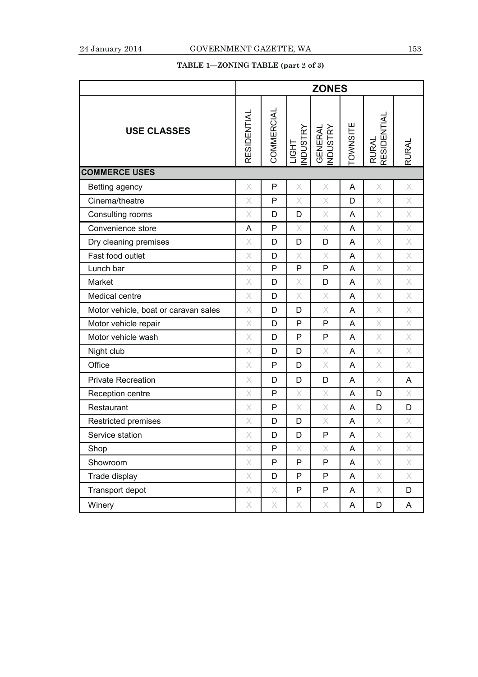# **TABLE 1—ZONING TABLE (part 2 of 3)**

|                                      | <b>ZONES</b>                                                                                                                                                                                                                                                                                                                                                                                                                                             |            |                                |                            |                 |                                                                                                            |                                                                                                                                                                |
|--------------------------------------|----------------------------------------------------------------------------------------------------------------------------------------------------------------------------------------------------------------------------------------------------------------------------------------------------------------------------------------------------------------------------------------------------------------------------------------------------------|------------|--------------------------------|----------------------------|-----------------|------------------------------------------------------------------------------------------------------------|----------------------------------------------------------------------------------------------------------------------------------------------------------------|
| <b>USE CLASSES</b>                   | <b>RESIDENTIAL</b>                                                                                                                                                                                                                                                                                                                                                                                                                                       | COMMERCIAL | <b>NDUSTRY</b><br><b>LIGHT</b> | <b>GENERAL</b><br>INDUSTRY | <b>TOWNSITE</b> | RURAL<br>RESIDENTIAL                                                                                       | <b>RURAL</b>                                                                                                                                                   |
| <b>COMMERCE USES</b>                 |                                                                                                                                                                                                                                                                                                                                                                                                                                                          |            |                                |                            |                 |                                                                                                            |                                                                                                                                                                |
| Betting agency                       | X                                                                                                                                                                                                                                                                                                                                                                                                                                                        | P          | X                              | X                          | A               | $\times$                                                                                                   | $\mathsf X$                                                                                                                                                    |
| Cinema/theatre                       | X                                                                                                                                                                                                                                                                                                                                                                                                                                                        | P          | Χ                              | X                          | D               | X                                                                                                          | X                                                                                                                                                              |
| Consulting rooms                     | X                                                                                                                                                                                                                                                                                                                                                                                                                                                        | D          | D                              | X                          | A               | X                                                                                                          | $\mathsf X$                                                                                                                                                    |
| Convenience store                    | A                                                                                                                                                                                                                                                                                                                                                                                                                                                        | P          | X                              | X                          | A               | X                                                                                                          | $\mathsf X$                                                                                                                                                    |
| Dry cleaning premises                | X                                                                                                                                                                                                                                                                                                                                                                                                                                                        | D          | D                              | D                          | A               | $\times$                                                                                                   | $\times$                                                                                                                                                       |
| Fast food outlet                     | $\times$                                                                                                                                                                                                                                                                                                                                                                                                                                                 | D          | X                              | X                          | A               | X                                                                                                          | X                                                                                                                                                              |
| Lunch bar                            | X                                                                                                                                                                                                                                                                                                                                                                                                                                                        | P          | ${\sf P}$                      | P                          | A               | X                                                                                                          | $\mathsf{X}% _{T}=\mathsf{X}_{T}\!\left( a,b\right) ,\ \mathsf{Y}_{T}=\mathsf{Y}_{T}\!\left( a,b\right) ,\ \mathsf{Y}_{T}=\mathsf{Y}_{T}\!\left( a,b\right) ,$ |
| Market                               | X                                                                                                                                                                                                                                                                                                                                                                                                                                                        | D          | X                              | D                          | A               | $\times$                                                                                                   | $\mathsf X$                                                                                                                                                    |
| Medical centre                       | X                                                                                                                                                                                                                                                                                                                                                                                                                                                        | D          | X                              | X                          | A               | X                                                                                                          | $\boldsymbol{\times}$                                                                                                                                          |
| Motor vehicle, boat or caravan sales | X                                                                                                                                                                                                                                                                                                                                                                                                                                                        | D          | D                              | X                          | Α               | $\times$                                                                                                   | $\times$                                                                                                                                                       |
| Motor vehicle repair                 | X                                                                                                                                                                                                                                                                                                                                                                                                                                                        | D          | P                              | P                          | A               | X                                                                                                          | $\times$                                                                                                                                                       |
| Motor vehicle wash                   | X                                                                                                                                                                                                                                                                                                                                                                                                                                                        | D          | P                              | P                          | A               | $\mathsf X$                                                                                                | $\mathsf X$                                                                                                                                                    |
| Night club                           | X                                                                                                                                                                                                                                                                                                                                                                                                                                                        | D          | D                              | X                          | A               | $\times$                                                                                                   | $\mathsf X$                                                                                                                                                    |
| Office                               | X                                                                                                                                                                                                                                                                                                                                                                                                                                                        | P          | D                              | X                          | A               | X                                                                                                          | $\times$                                                                                                                                                       |
| <b>Private Recreation</b>            | X                                                                                                                                                                                                                                                                                                                                                                                                                                                        | D          | D                              | D                          | A               | $\times$                                                                                                   | A                                                                                                                                                              |
| Reception centre                     | X                                                                                                                                                                                                                                                                                                                                                                                                                                                        | P          | X                              | X                          | A               | D                                                                                                          | X                                                                                                                                                              |
| Restaurant                           | X                                                                                                                                                                                                                                                                                                                                                                                                                                                        | P          | Χ                              | X                          | Α               | D                                                                                                          | D                                                                                                                                                              |
| Restricted premises                  | X                                                                                                                                                                                                                                                                                                                                                                                                                                                        | D          | D                              | X                          | A               | X                                                                                                          | X                                                                                                                                                              |
| Service station                      | $\times$                                                                                                                                                                                                                                                                                                                                                                                                                                                 | D          | D                              | P                          | A               | X                                                                                                          | $\times$                                                                                                                                                       |
| Shop                                 | $\times$                                                                                                                                                                                                                                                                                                                                                                                                                                                 | P          | X                              | X                          | A               | $\times$                                                                                                   | $\times$                                                                                                                                                       |
| Showroom                             | $\times$                                                                                                                                                                                                                                                                                                                                                                                                                                                 | P          | ${\sf P}$                      | P                          | A               | $\mathsf X$                                                                                                | $\mathsf X$                                                                                                                                                    |
| Trade display                        | $\times$                                                                                                                                                                                                                                                                                                                                                                                                                                                 | D          | ${\sf P}$                      | P                          | A               | $\mathsf{X}% _{T}=\mathsf{X}_{T}\!\left( a,b\right) ,\ \mathsf{Y}_{T}=\mathsf{Y}_{T}\!\left( a,b\right) ,$ | $\mathsf{X}% _{T}=\mathsf{X}_{T}\!\left( a,b\right) ,\ \mathsf{Y}_{T}=\mathsf{Y}_{T}\!\left( a,b\right) ,\ \mathsf{Y}_{T}=\mathsf{Y}_{T}\!\left( a,b\right) ,$ |
| Transport depot                      | $\mathsf{X}% _{T}=\mathsf{X}_{T}\!\left( a,b\right) ,\ \mathsf{Y}_{T}=\mathsf{Y}_{T}\!\left( a,b\right) ,\ \mathsf{Y}_{T}=\mathsf{Y}_{T}\!\left( a,b\right) ,\ \mathsf{Y}_{T}=\mathsf{Y}_{T}\!\left( a,b\right) ,\ \mathsf{Y}_{T}=\mathsf{Y}_{T}\!\left( a,b\right) ,\ \mathsf{Y}_{T}=\mathsf{Y}_{T}\!\left( a,b\right) ,\ \mathsf{Y}_{T}=\mathsf{Y}_{T}\!\left( a,b\right) ,\ \mathsf{Y}_{T}=\mathsf{Y}_{T}\!\left( a,b\right) ,\ \mathsf{Y}_{T}=\math$ | X          | $\mathsf{P}$                   | P                          | A               | X                                                                                                          | D                                                                                                                                                              |
| Winery                               | X                                                                                                                                                                                                                                                                                                                                                                                                                                                        | Χ          | X                              | Χ                          | Α               | D                                                                                                          | A                                                                                                                                                              |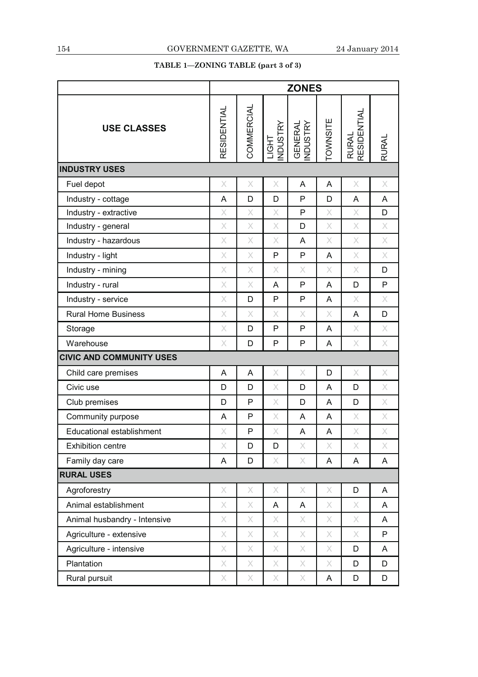# **TABLE 1—ZONING TABLE (part 3 of 3)**

|                                 | <b>ZONES</b>                                                                                                                                                                                                                                                                                                                                                                                                                                             |            |                                                                                                                                                                                                                                                                                                                                                                                                                                                          |                                                                                                                                                                                                                                                                                                                                                                                                                                                          |                                                                                                                                                                                                                                                                                                                                                                                                                                                          |                                                                                                                                                                                                                                                                                                                                                                                                                                                          |                                                                                                            |
|---------------------------------|----------------------------------------------------------------------------------------------------------------------------------------------------------------------------------------------------------------------------------------------------------------------------------------------------------------------------------------------------------------------------------------------------------------------------------------------------------|------------|----------------------------------------------------------------------------------------------------------------------------------------------------------------------------------------------------------------------------------------------------------------------------------------------------------------------------------------------------------------------------------------------------------------------------------------------------------|----------------------------------------------------------------------------------------------------------------------------------------------------------------------------------------------------------------------------------------------------------------------------------------------------------------------------------------------------------------------------------------------------------------------------------------------------------|----------------------------------------------------------------------------------------------------------------------------------------------------------------------------------------------------------------------------------------------------------------------------------------------------------------------------------------------------------------------------------------------------------------------------------------------------------|----------------------------------------------------------------------------------------------------------------------------------------------------------------------------------------------------------------------------------------------------------------------------------------------------------------------------------------------------------------------------------------------------------------------------------------------------------|------------------------------------------------------------------------------------------------------------|
| <b>USE CLASSES</b>              | RESIDENTIAL                                                                                                                                                                                                                                                                                                                                                                                                                                              | COMMERCIAL | <b>NDUSTRY</b><br><b>LIGHT</b>                                                                                                                                                                                                                                                                                                                                                                                                                           | <b>NDUSTRY</b><br><b>GENERAL</b>                                                                                                                                                                                                                                                                                                                                                                                                                         | <b>OWNSITE</b>                                                                                                                                                                                                                                                                                                                                                                                                                                           | RESIDENTIAL<br><b>RURAL</b>                                                                                                                                                                                                                                                                                                                                                                                                                              | <b>RURAL</b>                                                                                               |
| <b>INDUSTRY USES</b>            |                                                                                                                                                                                                                                                                                                                                                                                                                                                          |            |                                                                                                                                                                                                                                                                                                                                                                                                                                                          |                                                                                                                                                                                                                                                                                                                                                                                                                                                          |                                                                                                                                                                                                                                                                                                                                                                                                                                                          |                                                                                                                                                                                                                                                                                                                                                                                                                                                          |                                                                                                            |
| Fuel depot                      | $\mathsf{X}% _{T}=\mathsf{X}_{T}\!\left( a,b\right) ,\ \mathsf{Y}_{T}=\mathsf{Y}_{T}\!\left( a,b\right) ,\ \mathsf{Y}_{T}=\mathsf{Y}_{T}\!\left( a,b\right) ,\ \mathsf{Y}_{T}=\mathsf{Y}_{T}\!\left( a,b\right) ,\ \mathsf{Y}_{T}=\mathsf{Y}_{T}\!\left( a,b\right) ,\ \mathsf{Y}_{T}=\mathsf{Y}_{T}\!\left( a,b\right) ,\ \mathsf{Y}_{T}=\mathsf{Y}_{T}\!\left( a,b\right) ,\ \mathsf{Y}_{T}=\mathsf{Y}_{T}\!\left( a,b\right) ,\ \mathsf{Y}_{T}=\math$ | X          | X                                                                                                                                                                                                                                                                                                                                                                                                                                                        | A                                                                                                                                                                                                                                                                                                                                                                                                                                                        | A                                                                                                                                                                                                                                                                                                                                                                                                                                                        | $\mathsf{X}% _{T}=\mathsf{X}_{T}\!\left( a,b\right) ,\ \mathsf{Y}_{T}=\mathsf{Y}_{T}\!\left( a,b\right) ,\ \mathsf{Y}_{T}=\mathsf{Y}_{T}\!\left( a,b\right) ,\ \mathsf{Y}_{T}=\mathsf{Y}_{T}\!\left( a,b\right) ,\ \mathsf{Y}_{T}=\mathsf{Y}_{T}\!\left( a,b\right) ,\ \mathsf{Y}_{T}=\mathsf{Y}_{T}\!\left( a,b\right) ,\ \mathsf{Y}_{T}=\mathsf{Y}_{T}\!\left( a,b\right) ,\ \mathsf{Y}_{T}=\mathsf{Y}_{T}\!\left( a,b\right) ,\ \mathsf{Y}_{T}=\math$ | $\mathsf{X}% _{T}=\mathsf{X}_{T}\!\left( a,b\right) ,\ \mathsf{Y}_{T}=\mathsf{Y}_{T}\!\left( a,b\right) ,$ |
| Industry - cottage              | A                                                                                                                                                                                                                                                                                                                                                                                                                                                        | D          | D                                                                                                                                                                                                                                                                                                                                                                                                                                                        | P                                                                                                                                                                                                                                                                                                                                                                                                                                                        | D                                                                                                                                                                                                                                                                                                                                                                                                                                                        | A                                                                                                                                                                                                                                                                                                                                                                                                                                                        | $\overline{A}$                                                                                             |
| Industry - extractive           | X                                                                                                                                                                                                                                                                                                                                                                                                                                                        | X          | $\mathsf{X}% _{T}=\mathsf{X}_{T}\!\left( a,b\right) ,\ \mathsf{Y}_{T}=\mathsf{Y}_{T}\!\left( a,b\right) ,\ \mathsf{Y}_{T}=\mathsf{Y}_{T}\!\left( a,b\right) ,\ \mathsf{Y}_{T}=\mathsf{Y}_{T}\!\left( a,b\right) ,\ \mathsf{Y}_{T}=\mathsf{Y}_{T}\!\left( a,b\right) ,\ \mathsf{Y}_{T}=\mathsf{Y}_{T}\!\left( a,b\right) ,\ \mathsf{Y}_{T}=\mathsf{Y}_{T}\!\left( a,b\right) ,\ \mathsf{Y}_{T}=\mathsf{Y}_{T}\!\left( a,b\right) ,\ \mathsf{Y}_{T}=\math$ | $\mathsf{P}$                                                                                                                                                                                                                                                                                                                                                                                                                                             | X                                                                                                                                                                                                                                                                                                                                                                                                                                                        | $\mathsf{X}% _{T}=\mathsf{X}_{T}\!\left( a,b\right) ,\ \mathsf{Y}_{T}=\mathsf{Y}_{T}\!\left( a,b\right) ,\ \mathsf{Y}_{T}=\mathsf{Y}_{T}\!\left( a,b\right) ,\ \mathsf{Y}_{T}=\mathsf{Y}_{T}\!\left( a,b\right) ,\ \mathsf{Y}_{T}=\mathsf{Y}_{T}\!\left( a,b\right) ,\ \mathsf{Y}_{T}=\mathsf{Y}_{T}\!\left( a,b\right) ,\ \mathsf{Y}_{T}=\mathsf{Y}_{T}\!\left( a,b\right) ,\ \mathsf{Y}_{T}=\mathsf{Y}_{T}\!\left( a,b\right) ,\ \mathsf{Y}_{T}=\math$ | D                                                                                                          |
| Industry - general              | X                                                                                                                                                                                                                                                                                                                                                                                                                                                        | X          | $\mathsf{X}$                                                                                                                                                                                                                                                                                                                                                                                                                                             | D                                                                                                                                                                                                                                                                                                                                                                                                                                                        | $\mathsf{X}% _{T}=\mathsf{X}_{T}\!\left( a,b\right) ,\ \mathsf{Y}_{T}=\mathsf{Y}_{T}\!\left( a,b\right) ,\ \mathsf{Y}_{T}=\mathsf{Y}_{T}\!\left( a,b\right) ,\ \mathsf{Y}_{T}=\mathsf{Y}_{T}\!\left( a,b\right) ,\ \mathsf{Y}_{T}=\mathsf{Y}_{T}\!\left( a,b\right) ,\ \mathsf{Y}_{T}=\mathsf{Y}_{T}\!\left( a,b\right) ,\ \mathsf{Y}_{T}=\mathsf{Y}_{T}\!\left( a,b\right) ,\ \mathsf{Y}_{T}=\mathsf{Y}_{T}\!\left( a,b\right) ,\ \mathsf{Y}_{T}=\math$ | $\times$                                                                                                                                                                                                                                                                                                                                                                                                                                                 | $\mathsf{X}% _{T}=\mathsf{X}_{T}\!\left( a,b\right) ,\ \mathsf{Y}_{T}=\mathsf{Y}_{T}\!\left( a,b\right) ,$ |
| Industry - hazardous            | X                                                                                                                                                                                                                                                                                                                                                                                                                                                        | X          | $\times$                                                                                                                                                                                                                                                                                                                                                                                                                                                 | A                                                                                                                                                                                                                                                                                                                                                                                                                                                        | $\mathsf{X}% _{T}=\mathsf{X}_{T}\!\left( a,b\right) ,\ \mathsf{Y}_{T}=\mathsf{Y}_{T}\!\left( a,b\right) ,\ \mathsf{Y}_{T}=\mathsf{Y}_{T}\!\left( a,b\right) ,\ \mathsf{Y}_{T}=\mathsf{Y}_{T}\!\left( a,b\right) ,\ \mathsf{Y}_{T}=\mathsf{Y}_{T}\!\left( a,b\right) ,\ \mathsf{Y}_{T}=\mathsf{Y}_{T}\!\left( a,b\right) ,\ \mathsf{Y}_{T}=\mathsf{Y}_{T}\!\left( a,b\right) ,\ \mathsf{Y}_{T}=\mathsf{Y}_{T}\!\left( a,b\right) ,\ \mathsf{Y}_{T}=\math$ | $\mathsf{X}% _{T}=\mathsf{X}_{T}\!\left( a,b\right) ,\ \mathsf{Y}_{T}=\mathsf{Y}_{T}\!\left( a,b\right) ,\ \mathsf{Y}_{T}=\mathsf{Y}_{T}\!\left( a,b\right) ,\ \mathsf{Y}_{T}=\mathsf{Y}_{T}\!\left( a,b\right) ,\ \mathsf{Y}_{T}=\mathsf{Y}_{T}\!\left( a,b\right) ,\ \mathsf{Y}_{T}=\mathsf{Y}_{T}\!\left( a,b\right) ,\ \mathsf{Y}_{T}=\mathsf{Y}_{T}\!\left( a,b\right) ,\ \mathsf{Y}_{T}=\mathsf{Y}_{T}\!\left( a,b\right) ,\ \mathsf{Y}_{T}=\math$ | $\mathsf{X}% _{T}=\mathsf{X}_{T}\!\left( a,b\right) ,\ \mathsf{Y}_{T}=\mathsf{Y}_{T}\!\left( a,b\right) ,$ |
| Industry - light                | X                                                                                                                                                                                                                                                                                                                                                                                                                                                        | X          | P                                                                                                                                                                                                                                                                                                                                                                                                                                                        | P                                                                                                                                                                                                                                                                                                                                                                                                                                                        | A                                                                                                                                                                                                                                                                                                                                                                                                                                                        | $\times$                                                                                                                                                                                                                                                                                                                                                                                                                                                 | $\times$                                                                                                   |
| Industry - mining               | X                                                                                                                                                                                                                                                                                                                                                                                                                                                        | X          | X                                                                                                                                                                                                                                                                                                                                                                                                                                                        | $\times$                                                                                                                                                                                                                                                                                                                                                                                                                                                 | X                                                                                                                                                                                                                                                                                                                                                                                                                                                        | X                                                                                                                                                                                                                                                                                                                                                                                                                                                        | D                                                                                                          |
| Industry - rural                | X                                                                                                                                                                                                                                                                                                                                                                                                                                                        | X          | A                                                                                                                                                                                                                                                                                                                                                                                                                                                        | P                                                                                                                                                                                                                                                                                                                                                                                                                                                        | A                                                                                                                                                                                                                                                                                                                                                                                                                                                        | D                                                                                                                                                                                                                                                                                                                                                                                                                                                        | P                                                                                                          |
| Industry - service              | X                                                                                                                                                                                                                                                                                                                                                                                                                                                        | D          | P                                                                                                                                                                                                                                                                                                                                                                                                                                                        | $\mathsf{P}$                                                                                                                                                                                                                                                                                                                                                                                                                                             | A                                                                                                                                                                                                                                                                                                                                                                                                                                                        | $\times$                                                                                                                                                                                                                                                                                                                                                                                                                                                 | $\times$                                                                                                   |
| <b>Rural Home Business</b>      | X                                                                                                                                                                                                                                                                                                                                                                                                                                                        | Χ          | X                                                                                                                                                                                                                                                                                                                                                                                                                                                        | $\times$                                                                                                                                                                                                                                                                                                                                                                                                                                                 | X                                                                                                                                                                                                                                                                                                                                                                                                                                                        | A                                                                                                                                                                                                                                                                                                                                                                                                                                                        | D                                                                                                          |
| Storage                         | X                                                                                                                                                                                                                                                                                                                                                                                                                                                        | D          | P                                                                                                                                                                                                                                                                                                                                                                                                                                                        | $\mathsf{P}$                                                                                                                                                                                                                                                                                                                                                                                                                                             | A                                                                                                                                                                                                                                                                                                                                                                                                                                                        | $\mathsf{X}% _{T}=\mathsf{X}_{T}\!\left( a,b\right) ,\ \mathsf{Y}_{T}=\mathsf{Y}_{T}\!\left( a,b\right) ,\ \mathsf{Y}_{T}=\mathsf{Y}_{T}\!\left( a,b\right) ,\ \mathsf{Y}_{T}=\mathsf{Y}_{T}\!\left( a,b\right) ,\ \mathsf{Y}_{T}=\mathsf{Y}_{T}\!\left( a,b\right) ,\ \mathsf{Y}_{T}=\mathsf{Y}_{T}\!\left( a,b\right) ,\ \mathsf{Y}_{T}=\mathsf{Y}_{T}\!\left( a,b\right) ,\ \mathsf{Y}_{T}=\mathsf{Y}_{T}\!\left( a,b\right) ,\ \mathsf{Y}_{T}=\math$ | $\mathsf{X}% _{T}=\mathsf{X}_{T}\!\left( a,b\right) ,\ \mathsf{Y}_{T}=\mathsf{Y}_{T}\!\left( a,b\right) ,$ |
| Warehouse                       | X                                                                                                                                                                                                                                                                                                                                                                                                                                                        | D          | P                                                                                                                                                                                                                                                                                                                                                                                                                                                        | $\mathsf{P}$                                                                                                                                                                                                                                                                                                                                                                                                                                             | A                                                                                                                                                                                                                                                                                                                                                                                                                                                        | $\mathsf{X}$                                                                                                                                                                                                                                                                                                                                                                                                                                             | $\boldsymbol{\times}$                                                                                      |
| <b>CIVIC AND COMMUNITY USES</b> |                                                                                                                                                                                                                                                                                                                                                                                                                                                          |            |                                                                                                                                                                                                                                                                                                                                                                                                                                                          |                                                                                                                                                                                                                                                                                                                                                                                                                                                          |                                                                                                                                                                                                                                                                                                                                                                                                                                                          |                                                                                                                                                                                                                                                                                                                                                                                                                                                          |                                                                                                            |
| Child care premises             | A                                                                                                                                                                                                                                                                                                                                                                                                                                                        | A          | X                                                                                                                                                                                                                                                                                                                                                                                                                                                        | $\mathsf X$                                                                                                                                                                                                                                                                                                                                                                                                                                              | D                                                                                                                                                                                                                                                                                                                                                                                                                                                        | $\times$                                                                                                                                                                                                                                                                                                                                                                                                                                                 | $\times$                                                                                                   |
| Civic use                       | D                                                                                                                                                                                                                                                                                                                                                                                                                                                        | D          | X                                                                                                                                                                                                                                                                                                                                                                                                                                                        | D                                                                                                                                                                                                                                                                                                                                                                                                                                                        | A                                                                                                                                                                                                                                                                                                                                                                                                                                                        | D                                                                                                                                                                                                                                                                                                                                                                                                                                                        | $\mathsf{X}% _{T}=\mathsf{X}_{T}\!\left( a,b\right) ,\ \mathsf{Y}_{T}=\mathsf{Y}_{T}\!\left( a,b\right) ,$ |
| Club premises                   | D                                                                                                                                                                                                                                                                                                                                                                                                                                                        | P          | $\times$                                                                                                                                                                                                                                                                                                                                                                                                                                                 | D                                                                                                                                                                                                                                                                                                                                                                                                                                                        | A                                                                                                                                                                                                                                                                                                                                                                                                                                                        | D                                                                                                                                                                                                                                                                                                                                                                                                                                                        | $\times$                                                                                                   |
| Community purpose               | Α                                                                                                                                                                                                                                                                                                                                                                                                                                                        | P          | $\mathsf X$                                                                                                                                                                                                                                                                                                                                                                                                                                              | A                                                                                                                                                                                                                                                                                                                                                                                                                                                        | A                                                                                                                                                                                                                                                                                                                                                                                                                                                        | $\times$                                                                                                                                                                                                                                                                                                                                                                                                                                                 | $\times$                                                                                                   |
| Educational establishment       | Х                                                                                                                                                                                                                                                                                                                                                                                                                                                        | P          | X                                                                                                                                                                                                                                                                                                                                                                                                                                                        | A                                                                                                                                                                                                                                                                                                                                                                                                                                                        | A                                                                                                                                                                                                                                                                                                                                                                                                                                                        | $\mathsf{X}% _{T}=\mathsf{X}_{T}\!\left( a,b\right) ,\ \mathsf{Y}_{T}=\mathsf{Y}_{T}\!\left( a,b\right) ,\ \mathsf{Y}_{T}=\mathsf{Y}_{T}\!\left( a,b\right) ,\ \mathsf{Y}_{T}=\mathsf{Y}_{T}\!\left( a,b\right) ,\ \mathsf{Y}_{T}=\mathsf{Y}_{T}\!\left( a,b\right) ,\ \mathsf{Y}_{T}=\mathsf{Y}_{T}\!\left( a,b\right) ,\ \mathsf{Y}_{T}=\mathsf{Y}_{T}\!\left( a,b\right) ,\ \mathsf{Y}_{T}=\mathsf{Y}_{T}\!\left( a,b\right) ,\ \mathsf{Y}_{T}=\math$ | $\times$                                                                                                   |
| <b>Exhibition centre</b>        | X                                                                                                                                                                                                                                                                                                                                                                                                                                                        | D          | D                                                                                                                                                                                                                                                                                                                                                                                                                                                        | $\mathsf{X}% _{T}=\mathsf{X}_{T}\!\left( a,b\right) ,\ \mathsf{Y}_{T}=\mathsf{Y}_{T}\!\left( a,b\right) ,\ \mathsf{Y}_{T}=\mathsf{Y}_{T}\!\left( a,b\right) ,\ \mathsf{Y}_{T}=\mathsf{Y}_{T}\!\left( a,b\right) ,\ \mathsf{Y}_{T}=\mathsf{Y}_{T}\!\left( a,b\right) ,\ \mathsf{Y}_{T}=\mathsf{Y}_{T}\!\left( a,b\right) ,\ \mathsf{Y}_{T}=\mathsf{Y}_{T}\!\left( a,b\right) ,\ \mathsf{Y}_{T}=\mathsf{Y}_{T}\!\left( a,b\right) ,\ \mathsf{Y}_{T}=\math$ | X                                                                                                                                                                                                                                                                                                                                                                                                                                                        | $\mathsf{X}% _{T}=\mathsf{X}_{T}\!\left( a,b\right) ,\ \mathsf{Y}_{T}=\mathsf{Y}_{T}\!\left( a,b\right) ,\ \mathsf{Y}_{T}=\mathsf{Y}_{T}\!\left( a,b\right) ,\ \mathsf{Y}_{T}=\mathsf{Y}_{T}\!\left( a,b\right) ,\ \mathsf{Y}_{T}=\mathsf{Y}_{T}\!\left( a,b\right) ,\ \mathsf{Y}_{T}=\mathsf{Y}_{T}\!\left( a,b\right) ,\ \mathsf{Y}_{T}=\mathsf{Y}_{T}\!\left( a,b\right) ,\ \mathsf{Y}_{T}=\mathsf{Y}_{T}\!\left( a,b\right) ,\ \mathsf{Y}_{T}=\math$ | Х                                                                                                          |
| Family day care                 | A                                                                                                                                                                                                                                                                                                                                                                                                                                                        | D          | $\times$                                                                                                                                                                                                                                                                                                                                                                                                                                                 | $\mathsf{X}% _{T}=\mathsf{X}_{T}\!\left( a,b\right) ,\ \mathsf{Y}_{T}=\mathsf{Y}_{T}\!\left( a,b\right) ,\ \mathsf{Y}_{T}=\mathsf{Y}_{T}\!\left( a,b\right) ,\ \mathsf{Y}_{T}=\mathsf{Y}_{T}\!\left( a,b\right) ,\ \mathsf{Y}_{T}=\mathsf{Y}_{T}\!\left( a,b\right) ,\ \mathsf{Y}_{T}=\mathsf{Y}_{T}\!\left( a,b\right) ,\ \mathsf{Y}_{T}=\mathsf{Y}_{T}\!\left( a,b\right) ,\ \mathsf{Y}_{T}=\mathsf{Y}_{T}\!\left( a,b\right) ,\ \mathsf{Y}_{T}=\math$ | A                                                                                                                                                                                                                                                                                                                                                                                                                                                        | A                                                                                                                                                                                                                                                                                                                                                                                                                                                        | A                                                                                                          |
| <b>RURAL USES</b>               |                                                                                                                                                                                                                                                                                                                                                                                                                                                          |            |                                                                                                                                                                                                                                                                                                                                                                                                                                                          |                                                                                                                                                                                                                                                                                                                                                                                                                                                          |                                                                                                                                                                                                                                                                                                                                                                                                                                                          |                                                                                                                                                                                                                                                                                                                                                                                                                                                          |                                                                                                            |
| Agroforestry                    | $\mathsf{X}% _{T}=\mathsf{X}_{T}\!\left( a,b\right) ,\ \mathsf{Y}_{T}=\mathsf{Y}_{T}\!\left( a,b\right) ,\ \mathsf{Y}_{T}=\mathsf{Y}_{T}\!\left( a,b\right) ,\ \mathsf{Y}_{T}=\mathsf{Y}_{T}\!\left( a,b\right) ,\ \mathsf{Y}_{T}=\mathsf{Y}_{T}\!\left( a,b\right) ,\ \mathsf{Y}_{T}=\mathsf{Y}_{T}\!\left( a,b\right) ,\ \mathsf{Y}_{T}=\mathsf{Y}_{T}\!\left( a,b\right) ,\ \mathsf{Y}_{T}=\mathsf{Y}_{T}\!\left( a,b\right) ,\ \mathsf{Y}_{T}=\math$ | X          | $\mathsf{X}% _{T}=\mathsf{X}_{T}\!\left( a,b\right) ,\ \mathsf{Y}_{T}=\mathsf{Y}_{T}\!\left( a,b\right) ,\ \mathsf{Y}_{T}=\mathsf{Y}_{T}\!\left( a,b\right) ,\ \mathsf{Y}_{T}=\mathsf{Y}_{T}\!\left( a,b\right) ,\ \mathsf{Y}_{T}=\mathsf{Y}_{T}\!\left( a,b\right) ,\ \mathsf{Y}_{T}=\mathsf{Y}_{T}\!\left( a,b\right) ,\ \mathsf{Y}_{T}=\mathsf{Y}_{T}\!\left( a,b\right) ,\ \mathsf{Y}_{T}=\mathsf{Y}_{T}\!\left( a,b\right) ,\ \mathsf{Y}_{T}=\math$ | $\times$                                                                                                                                                                                                                                                                                                                                                                                                                                                 | $\mathsf{X}% _{T}=\mathsf{X}_{T}\!\left( a,b\right) ,\ \mathsf{Y}_{T}=\mathsf{Y}_{T}\!\left( a,b\right) ,\ \mathsf{Y}_{T}=\mathsf{Y}_{T}\!\left( a,b\right) ,\ \mathsf{Y}_{T}=\mathsf{Y}_{T}\!\left( a,b\right) ,\ \mathsf{Y}_{T}=\mathsf{Y}_{T}\!\left( a,b\right) ,\ \mathsf{Y}_{T}=\mathsf{Y}_{T}\!\left( a,b\right) ,\ \mathsf{Y}_{T}=\mathsf{Y}_{T}\!\left( a,b\right) ,\ \mathsf{Y}_{T}=\mathsf{Y}_{T}\!\left( a,b\right) ,\ \mathsf{Y}_{T}=\math$ | D                                                                                                                                                                                                                                                                                                                                                                                                                                                        | A                                                                                                          |
| Animal establishment            | X                                                                                                                                                                                                                                                                                                                                                                                                                                                        | X          | A                                                                                                                                                                                                                                                                                                                                                                                                                                                        | A                                                                                                                                                                                                                                                                                                                                                                                                                                                        | X                                                                                                                                                                                                                                                                                                                                                                                                                                                        | X                                                                                                                                                                                                                                                                                                                                                                                                                                                        | A                                                                                                          |
| Animal husbandry - Intensive    | X                                                                                                                                                                                                                                                                                                                                                                                                                                                        | X          | X                                                                                                                                                                                                                                                                                                                                                                                                                                                        | X                                                                                                                                                                                                                                                                                                                                                                                                                                                        | X                                                                                                                                                                                                                                                                                                                                                                                                                                                        | X                                                                                                                                                                                                                                                                                                                                                                                                                                                        | A                                                                                                          |
| Agriculture - extensive         | $\mathsf X$                                                                                                                                                                                                                                                                                                                                                                                                                                              | $\times$   | $\times$                                                                                                                                                                                                                                                                                                                                                                                                                                                 | $\mathsf{X}% _{T}=\mathsf{X}_{T}\!\left( a,b\right) ,\ \mathsf{Y}_{T}=\mathsf{Y}_{T}\!\left( a,b\right) ,$                                                                                                                                                                                                                                                                                                                                               | $\mathsf X$                                                                                                                                                                                                                                                                                                                                                                                                                                              | $\times$                                                                                                                                                                                                                                                                                                                                                                                                                                                 | P                                                                                                          |
| Agriculture - intensive         | X                                                                                                                                                                                                                                                                                                                                                                                                                                                        | Х          | X                                                                                                                                                                                                                                                                                                                                                                                                                                                        | X                                                                                                                                                                                                                                                                                                                                                                                                                                                        | X                                                                                                                                                                                                                                                                                                                                                                                                                                                        | D                                                                                                                                                                                                                                                                                                                                                                                                                                                        | A                                                                                                          |
| Plantation                      | X                                                                                                                                                                                                                                                                                                                                                                                                                                                        | X          | X                                                                                                                                                                                                                                                                                                                                                                                                                                                        | X                                                                                                                                                                                                                                                                                                                                                                                                                                                        | X                                                                                                                                                                                                                                                                                                                                                                                                                                                        | D                                                                                                                                                                                                                                                                                                                                                                                                                                                        | D                                                                                                          |
| Rural pursuit                   | X                                                                                                                                                                                                                                                                                                                                                                                                                                                        | Χ          | X                                                                                                                                                                                                                                                                                                                                                                                                                                                        | X                                                                                                                                                                                                                                                                                                                                                                                                                                                        | A                                                                                                                                                                                                                                                                                                                                                                                                                                                        | D                                                                                                                                                                                                                                                                                                                                                                                                                                                        | D                                                                                                          |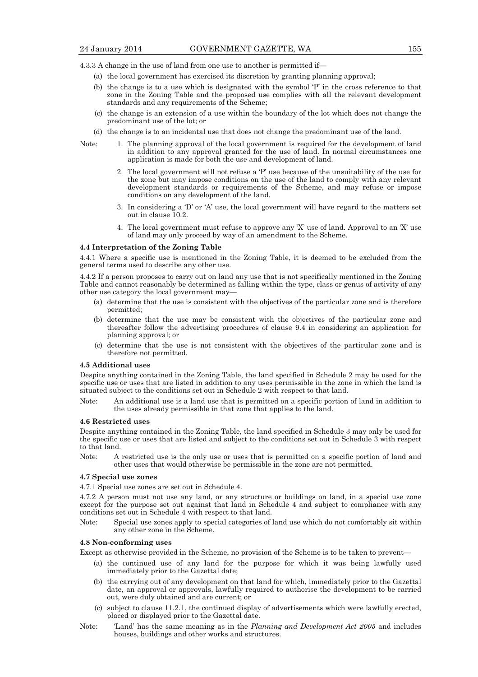4.3.3 A change in the use of land from one use to another is permitted if—

- (a) the local government has exercised its discretion by granting planning approval;
- (b) the change is to a use which is designated with the symbol 'P' in the cross reference to that zone in the Zoning Table and the proposed use complies with all the relevant development standards and any requirements of the Scheme;
- (c) the change is an extension of a use within the boundary of the lot which does not change the predominant use of the lot; or
- (d) the change is to an incidental use that does not change the predominant use of the land.
- Note: 1. The planning approval of the local government is required for the development of land in addition to any approval granted for the use of land. In normal circumstances one application is made for both the use and development of land.
	- 2. The local government will not refuse a 'P' use because of the unsuitability of the use for the zone but may impose conditions on the use of the land to comply with any relevant development standards or requirements of the Scheme, and may refuse or impose conditions on any development of the land.
	- 3. In considering a 'D' or 'A' use, the local government will have regard to the matters set out in clause 10.2.
	- 4. The local government must refuse to approve any 'X' use of land. Approval to an 'X' use of land may only proceed by way of an amendment to the Scheme.

#### **4.4 Interpretation of the Zoning Table**

4.4.1 Where a specific use is mentioned in the Zoning Table, it is deemed to be excluded from the general terms used to describe any other use.

4.4.2 If a person proposes to carry out on land any use that is not specifically mentioned in the Zoning Table and cannot reasonably be determined as falling within the type, class or genus of activity of any other use category the local government may—

- (a) determine that the use is consistent with the objectives of the particular zone and is therefore permitted;
- (b) determine that the use may be consistent with the objectives of the particular zone and thereafter follow the advertising procedures of clause 9.4 in considering an application for planning approval; or
- (c) determine that the use is not consistent with the objectives of the particular zone and is therefore not permitted.

#### **4.5 Additional uses**

Despite anything contained in the Zoning Table, the land specified in Schedule 2 may be used for the specific use or uses that are listed in addition to any uses permissible in the zone in which the land is situated subject to the conditions set out in Schedule 2 with respect to that land.

Note: An additional use is a land use that is permitted on a specific portion of land in addition to the uses already permissible in that zone that applies to the land.

#### **4.6 Restricted uses**

Despite anything contained in the Zoning Table, the land specified in Schedule 3 may only be used for the specific use or uses that are listed and subject to the conditions set out in Schedule 3 with respect to that land.

Note: A restricted use is the only use or uses that is permitted on a specific portion of land and other uses that would otherwise be permissible in the zone are not permitted.

#### **4.7 Special use zones**

4.7.1 Special use zones are set out in Schedule 4.

4.7.2 A person must not use any land, or any structure or buildings on land, in a special use zone except for the purpose set out against that land in Schedule 4 and subject to compliance with any conditions set out in Schedule 4 with respect to that land.

Note: Special use zones apply to special categories of land use which do not comfortably sit within any other zone in the Scheme.

#### **4.8 Non-conforming uses**

Except as otherwise provided in the Scheme, no provision of the Scheme is to be taken to prevent—

- (a) the continued use of any land for the purpose for which it was being lawfully used immediately prior to the Gazettal date;
- (b) the carrying out of any development on that land for which, immediately prior to the Gazettal date, an approval or approvals, lawfully required to authorise the development to be carried out, were duly obtained and are current; or
- (c) subject to clause 11.2.1, the continued display of advertisements which were lawfully erected, placed or displayed prior to the Gazettal date.
- Note: 'Land' has the same meaning as in the *Planning and Development Act 2005* and includes houses, buildings and other works and structures.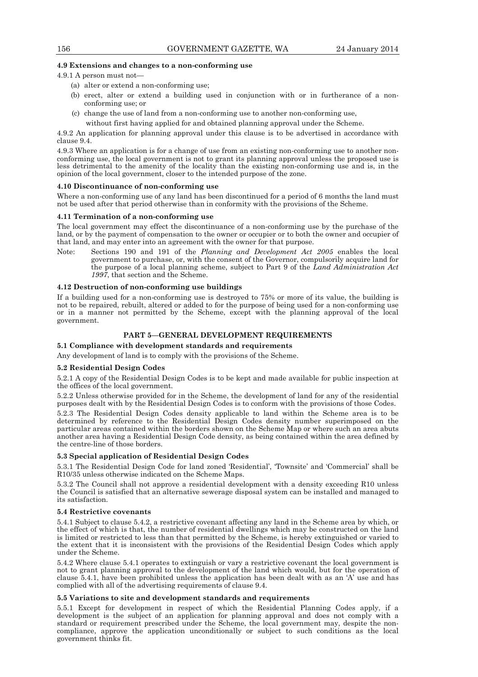## **4.9 Extensions and changes to a non-conforming use**

4.9.1 A person must not—

- (a) alter or extend a non-conforming use;
- (b) erect, alter or extend a building used in conjunction with or in furtherance of a nonconforming use; or
- (c) change the use of land from a non-conforming use to another non-conforming use,
- without first having applied for and obtained planning approval under the Scheme.

4.9.2 An application for planning approval under this clause is to be advertised in accordance with clause 9.4.

4.9.3 Where an application is for a change of use from an existing non-conforming use to another nonconforming use, the local government is not to grant its planning approval unless the proposed use is less detrimental to the amenity of the locality than the existing non-conforming use and is, in the opinion of the local government, closer to the intended purpose of the zone.

#### **4.10 Discontinuance of non-conforming use**

Where a non-conforming use of any land has been discontinued for a period of 6 months the land must not be used after that period otherwise than in conformity with the provisions of the Scheme.

#### **4.11 Termination of a non-conforming use**

The local government may effect the discontinuance of a non-conforming use by the purchase of the land, or by the payment of compensation to the owner or occupier or to both the owner and occupier of that land, and may enter into an agreement with the owner for that purpose.

Note: Sections 190 and 191 of the *Planning and Development Act 2005* enables the local government to purchase, or, with the consent of the Governor, compulsorily acquire land for the purpose of a local planning scheme, subject to Part 9 of the *Land Administration Act 1997*, that section and the Scheme.

#### **4.12 Destruction of non-conforming use buildings**

If a building used for a non-conforming use is destroyed to 75% or more of its value, the building is not to be repaired, rebuilt, altered or added to for the purpose of being used for a non-conforming use or in a manner not permitted by the Scheme, except with the planning approval of the local government.

# **PART 5—GENERAL DEVELOPMENT REQUIREMENTS**

# **5.1 Compliance with development standards and requirements**

Any development of land is to comply with the provisions of the Scheme.

#### **5.2 Residential Design Codes**

5.2.1 A copy of the Residential Design Codes is to be kept and made available for public inspection at the offices of the local government.

5.2.2 Unless otherwise provided for in the Scheme, the development of land for any of the residential purposes dealt with by the Residential Design Codes is to conform with the provisions of those Codes.

5.2.3 The Residential Design Codes density applicable to land within the Scheme area is to be determined by reference to the Residential Design Codes density number superimposed on the particular areas contained within the borders shown on the Scheme Map or where such an area abuts another area having a Residential Design Code density, as being contained within the area defined by the centre-line of those borders.

#### **5.3 Special application of Residential Design Codes**

5.3.1 The Residential Design Code for land zoned 'Residential', 'Townsite' and 'Commercial' shall be R10/35 unless otherwise indicated on the Scheme Maps.

5.3.2 The Council shall not approve a residential development with a density exceeding R10 unless the Council is satisfied that an alternative sewerage disposal system can be installed and managed to its satisfaction.

#### **5.4 Restrictive covenants**

5.4.1 Subject to clause 5.4.2, a restrictive covenant affecting any land in the Scheme area by which, or the effect of which is that, the number of residential dwellings which may be constructed on the land is limited or restricted to less than that permitted by the Scheme, is hereby extinguished or varied to the extent that it is inconsistent with the provisions of the Residential Design Codes which apply under the Scheme.

5.4.2 Where clause 5.4.1 operates to extinguish or vary a restrictive covenant the local government is not to grant planning approval to the development of the land which would, but for the operation of clause 5.4.1, have been prohibited unless the application has been dealt with as an 'A' use and has complied with all of the advertising requirements of clause 9.4.

## **5.5 Variations to site and development standards and requirements**

5.5.1 Except for development in respect of which the Residential Planning Codes apply, if a development is the subject of an application for planning approval and does not comply with a standard or requirement prescribed under the Scheme, the local government may, despite the noncompliance, approve the application unconditionally or subject to such conditions as the local government thinks fit.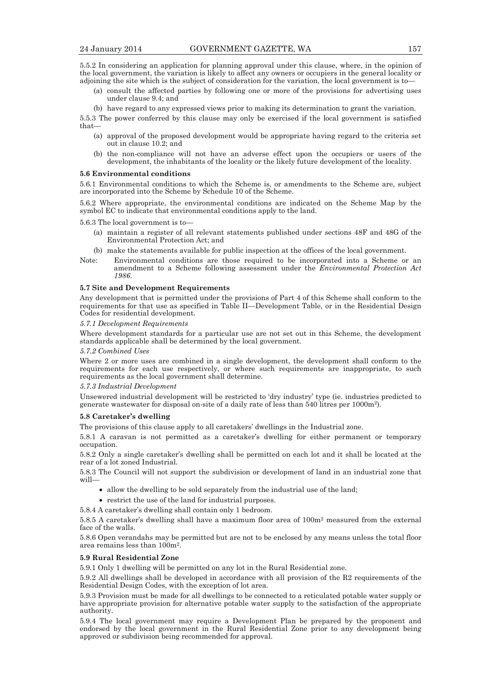5.5.2 In considering an application for planning approval under this clause, where, in the opinion of the local government, the variation is likely to affect any owners or occupiers in the general locality or adjoining the site which is the subject of consideration for the variation, the local government is to—

- (a) consult the affected parties by following one or more of the provisions for advertising uses under clause 9.4; and
- (b) have regard to any expressed views prior to making its determination to grant the variation.

5.5.3 The power conferred by this clause may only be exercised if the local government is satisfied that—

- (a) approval of the proposed development would be appropriate having regard to the criteria set out in clause 10.2; and
- (b) the non-compliance will not have an adverse effect upon the occupiers or users of the development, the inhabitants of the locality or the likely future development of the locality.

#### **5.6 Environmental conditions**

5.6.1 Environmental conditions to which the Scheme is, or amendments to the Scheme are, subject are incorporated into the Scheme by Schedule 10 of the Scheme.

5.6.2 Where appropriate, the environmental conditions are indicated on the Scheme Map by the symbol EC to indicate that environmental conditions apply to the land.

5.6.3 The local government is to—

- (a) maintain a register of all relevant statements published under sections 48F and 48G of the Environmental Protection Act; and
- (b) make the statements available for public inspection at the offices of the local government.
- Note: Environmental conditions are those required to be incorporated into a Scheme or an amendment to a Scheme following assessment under the *Environmental Protection Act 1986*.

#### **5.7 Site and Development Requirements**

Any development that is permitted under the provisions of Part 4 of this Scheme shall conform to the requirements for that use as specified in Table II—Development Table, or in the Residential Design Codes for residential development.

# *5.7.1 Development Requirements*

Where development standards for a particular use are not set out in this Scheme, the development standards applicable shall be determined by the local government.

#### *5.7.2 Combined Uses*

Where 2 or more uses are combined in a single development, the development shall conform to the requirements for each use respectively, or where such requirements are inappropriate, to such requirements as the local government shall determine.

#### *5.7.3 Industrial Development*

Unsewered industrial development will be restricted to 'dry industry' type (ie. industries predicted to generate wastewater for disposal on-site of a daily rate of less than 540 litres per 1000m2).

#### **5.8 Caretaker's dwelling**

The provisions of this clause apply to all caretakers' dwellings in the Industrial zone.

5.8.1 A caravan is not permitted as a caretaker's dwelling for either permanent or temporary occupation.

5.8.2 Only a single caretaker's dwelling shall be permitted on each lot and it shall be located at the rear of a lot zoned Industrial.

5.8.3 The Council will not support the subdivision or development of land in an industrial zone that will—

- allow the dwelling to be sold separately from the industrial use of the land;
- restrict the use of the land for industrial purposes.

5.8.4 A caretaker's dwelling shall contain only 1 bedroom.

5.8.5 A caretaker's dwelling shall have a maximum floor area of 100m2 measured from the external face of the walls.

5.8.6 Open verandahs may be permitted but are not to be enclosed by any means unless the total floor area remains less than 100m2.

#### **5.9 Rural Residential Zone**

5.9.1 Only 1 dwelling will be permitted on any lot in the Rural Residential zone.

5.9.2 All dwellings shall be developed in accordance with all provision of the R2 requirements of the Residential Design Codes, with the exception of lot area.

5.9.3 Provision must be made for all dwellings to be connected to a reticulated potable water supply or have appropriate provision for alternative potable water supply to the satisfaction of the appropriate authority.

5.9.4 The local government may require a Development Plan be prepared by the proponent and endorsed by the local government in the Rural Residential Zone prior to any development being approved or subdivision being recommended for approval.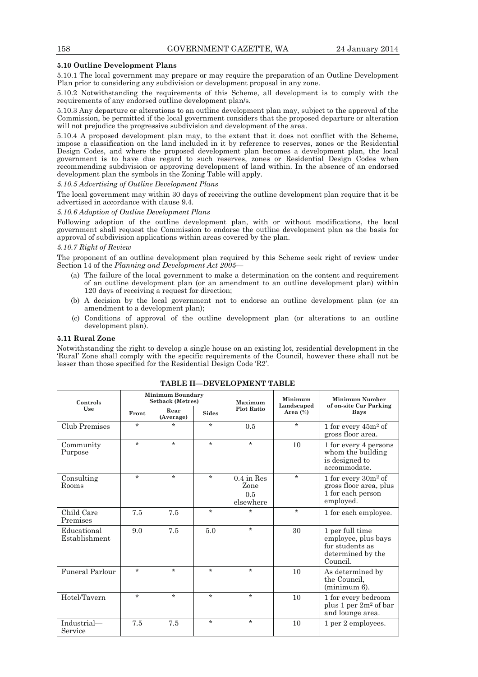#### **5.10 Outline Development Plans**

5.10.1 The local government may prepare or may require the preparation of an Outline Development Plan prior to considering any subdivision or development proposal in any zone.

5.10.2 Notwithstanding the requirements of this Scheme, all development is to comply with the requirements of any endorsed outline development plan/s.

5.10.3 Any departure or alterations to an outline development plan may, subject to the approval of the Commission, be permitted if the local government considers that the proposed departure or alteration will not prejudice the progressive subdivision and development of the area.

5.10.4 A proposed development plan may, to the extent that it does not conflict with the Scheme, impose a classification on the land included in it by reference to reserves, zones or the Residential Design Codes, and where the proposed development plan becomes a development plan, the local government is to have due regard to such reserves, zones or Residential Design Codes when recommending subdivision or approving development of land within. In the absence of an endorsed development plan the symbols in the Zoning Table will apply.

*5.10.5 Advertising of Outline Development Plans* 

The local government may within 30 days of receiving the outline development plan require that it be advertised in accordance with clause 9.4.

#### *5.10.6 Adoption of Outline Development Plans*

Following adoption of the outline development plan, with or without modifications, the local government shall request the Commission to endorse the outline development plan as the basis for approval of subdivision applications within areas covered by the plan.

#### *5.10.7 Right of Review*

The proponent of an outline development plan required by this Scheme seek right of review under Section 14 of the *Planning and Development Act 2005*—

- (a) The failure of the local government to make a determination on the content and requirement of an outline development plan (or an amendment to an outline development plan) within 120 days of receiving a request for direction;
- (b) A decision by the local government not to endorse an outline development plan (or an amendment to a development plan);
- (c) Conditions of approval of the outline development plan (or alterations to an outline development plan).

# **5.11 Rural Zone**

Notwithstanding the right to develop a single house on an existing lot, residential development in the 'Rural' Zone shall comply with the specific requirements of the Council, however these shall not be lesser than those specified for the Residential Design Code 'R2'.

| Controls                     | <b>Minimum Boundary</b><br><b>Setback (Metres)</b><br>Maximum |                   |              | Minimum<br>Landscaped                    | Minimum Number<br>of on-site Car Parking |                                                                                            |
|------------------------------|---------------------------------------------------------------|-------------------|--------------|------------------------------------------|------------------------------------------|--------------------------------------------------------------------------------------------|
| Use                          | Front                                                         | Rear<br>(Average) | <b>Sides</b> | <b>Plot Ratio</b>                        | Area $(\%)$                              | Bays                                                                                       |
| <b>Club Premises</b>         | $\star$                                                       | $\star$           | $\star$      | 0.5                                      | $\star$                                  | 1 for every $45m^2$ of<br>gross floor area.                                                |
| Community<br>Purpose         | $\star$                                                       | $\star$           | $\star$      | $\star$                                  | 10                                       | 1 for every 4 persons<br>whom the building<br>is designed to<br>accommodate.               |
| Consulting<br>Rooms          | $\star$                                                       | $\star$           | $\star$      | $0.4$ in Res<br>Zone<br>0.5<br>elsewhere | $\star$                                  | 1 for every $30m^2$ of<br>gross floor area, plus<br>1 for each person<br>employed.         |
| Child Care<br>Premises       | 7.5                                                           | 7.5               | $\star$      | $\star$                                  | $\star$                                  | 1 for each employee.                                                                       |
| Educational<br>Establishment | 9.0                                                           | 7.5               | 5.0          | $\star$                                  | 30                                       | 1 per full time<br>employee, plus bays<br>for students as<br>determined by the<br>Council. |
| Funeral Parlour              | $\star$                                                       | $\star$           | $\star$      | $\star$                                  | 10                                       | As determined by<br>the Council.<br>$(\text{minimum } 6).$                                 |
| Hotel/Tavern                 | $\star$                                                       | $\star$           | $\star$      | $\star$                                  | 10                                       | 1 for every bedroom<br>plus 1 per 2m <sup>2</sup> of bar<br>and lounge area.               |
| Industrial-<br>Service       | 7.5                                                           | 7.5               | $\star$      | $\star$                                  | 10                                       | 1 per 2 employees.                                                                         |

## **TABLE II—DEVELOPMENT TABLE**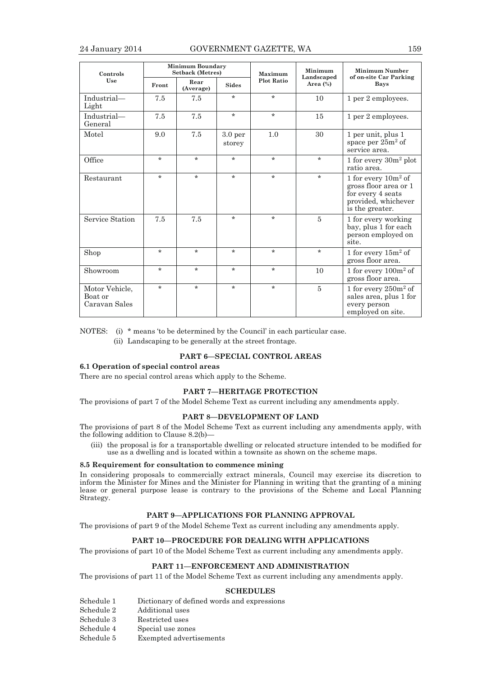| Controls                                   |         | <b>Minimum Boundary</b><br><b>Setback (Metres)</b> |                              | Maximum           | Minimum<br>Landscaped | Minimum Number<br>of on-site Car Parking                                                                       |
|--------------------------------------------|---------|----------------------------------------------------|------------------------------|-------------------|-----------------------|----------------------------------------------------------------------------------------------------------------|
| Use                                        | Front   | Rear<br>(Average)                                  | <b>Sides</b>                 | <b>Plot Ratio</b> | Area $(\%)$           | Bays                                                                                                           |
| Industrial-<br>Light                       | 7.5     | 7.5                                                | $\star$                      | $\star$           | 10                    | 1 per 2 employees.                                                                                             |
| Industrial-<br>General                     | 7.5     | 7.5                                                | $\star$                      | $\star$           | 15                    | 1 per 2 employees.                                                                                             |
| Motel                                      | 9.0     | 7.5                                                | 3.0 <sub>per</sub><br>storey | 1.0               | 30                    | 1 per unit, plus 1<br>space per $25m^2$ of<br>service area.                                                    |
| Office                                     | $\star$ | $\star$                                            | $\star$                      | $\star$           | $\star$               | 1 for every $30m^2$ plot<br>ratio area.                                                                        |
| Restaurant                                 | $\star$ | $\star$                                            | $\star$                      | $\star$           | $\star$               | 1 for every $10m^2$ of<br>gross floor area or 1<br>for every 4 seats<br>provided, whichever<br>is the greater. |
| Service Station                            | 7.5     | 7.5                                                | $\star$                      | $\star$           | 5                     | 1 for every working<br>bay, plus 1 for each<br>person employed on<br>site.                                     |
| Shop                                       | $\star$ | $\star$                                            | $\star$                      | $\star$           | $\star$               | 1 for every $15m^2$ of<br>gross floor area.                                                                    |
| Showroom                                   | $\star$ | $\star$                                            | $\star$                      | $\star$           | 10                    | 1 for every $100m^2$ of<br>gross floor area.                                                                   |
| Motor Vehicle,<br>Boat or<br>Caravan Sales | $\star$ | $\star$                                            | $\star$                      | $\star$           | 5                     | 1 for every $250m^2$ of<br>sales area, plus 1 for<br>every person<br>employed on site.                         |

NOTES: (i) \* means 'to be determined by the Council' in each particular case.

(ii) Landscaping to be generally at the street frontage.

## **PART 6—SPECIAL CONTROL AREAS**

# **6.1 Operation of special control areas**

There are no special control areas which apply to the Scheme.

#### **PART 7—HERITAGE PROTECTION**

The provisions of part 7 of the Model Scheme Text as current including any amendments apply.

## **PART 8—DEVELOPMENT OF LAND**

The provisions of part 8 of the Model Scheme Text as current including any amendments apply, with the following addition to Clause 8.2(b)—

 (iii) the proposal is for a transportable dwelling or relocated structure intended to be modified for use as a dwelling and is located within a townsite as shown on the scheme maps.

## **8.5 Requirement for consultation to commence mining**

In considering proposals to commercially extract minerals, Council may exercise its discretion to inform the Minister for Mines and the Minister for Planning in writing that the granting of a mining lease or general purpose lease is contrary to the provisions of the Scheme and Local Planning Strategy.

# **PART 9—APPLICATIONS FOR PLANNING APPROVAL**

The provisions of part 9 of the Model Scheme Text as current including any amendments apply.

# **PART 10—PROCEDURE FOR DEALING WITH APPLICATIONS**

The provisions of part 10 of the Model Scheme Text as current including any amendments apply.

# **PART 11—ENFORCEMENT AND ADMINISTRATION**

The provisions of part 11 of the Model Scheme Text as current including any amendments apply.

## **SCHEDULES**

- Schedule 1 Dictionary of defined words and expressions
- Schedule 2 Additional uses Schedule 3 Restricted uses
- Schedule 4 Special use zones
- Schedule 5 Exempted advertisements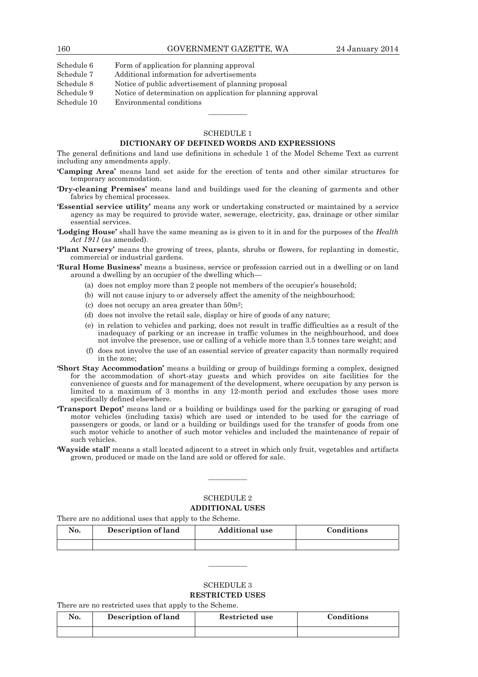Schedule 7 Additional information for advertisements

Schedule 8 Notice of public advertisement of planning proposal

Schedule 9 Notice of determination on application for planning approval

Schedule 10 Environmental conditions

# SCHEDULE 1

————

# **DICTIONARY OF DEFINED WORDS AND EXPRESSIONS**

The general definitions and land use definitions in schedule 1 of the Model Scheme Text as current including any amendments apply.

- **'Camping Area'** means land set aside for the erection of tents and other similar structures for temporary accommodation.
- **'Dry-cleaning Premises'** means land and buildings used for the cleaning of garments and other fabrics by chemical processes.
- **'Essential service utility'** means any work or undertaking constructed or maintained by a service agency as may be required to provide water, sewerage, electricity, gas, drainage or other similar essential services.
- **'Lodging House'** shall have the same meaning as is given to it in and for the purposes of the *Health Act 1911* (as amended).
- **'Plant Nursery'** means the growing of trees, plants, shrubs or flowers, for replanting in domestic, commercial or industrial gardens.

**'Rural Home Business'** means a business, service or profession carried out in a dwelling or on land around a dwelling by an occupier of the dwelling which—

- (a) does not employ more than 2 people not members of the occupier's household;
- (b) will not cause injury to or adversely affect the amenity of the neighbourhood;
- (c) does not occupy an area greater than  $50m^2$ ;
- (d) does not involve the retail sale, display or hire of goods of any nature;
- (e) in relation to vehicles and parking, does not result in traffic difficulties as a result of the inadequacy of parking or an increase in traffic volumes in the neighbourhood, and does not involve the presence, use or calling of a vehicle more than 3.5 tonnes tare weight; and
- (f) does not involve the use of an essential service of greater capacity than normally required in the zone;
- **'Short Stay Accommodation'** means a building or group of buildings forming a complex, designed for the accommodation of short-stay guests and which provides on site facilities for the convenience of guests and for management of the development, where occupation by any person is limited to a maximum of 3 months in any 12-month period and excludes those uses more specifically defined elsewhere.
- **'Transport Depot'** means land or a building or buildings used for the parking or garaging of road motor vehicles (including taxis) which are used or intended to be used for the carriage of passengers or goods, or land or a building or buildings used for the transfer of goods from one such motor vehicle to another of such motor vehicles and included the maintenance of repair of such vehicles.
- **'Wayside stall'** means a stall located adjacent to a street in which only fruit, vegetables and artifacts grown, produced or made on the land are sold or offered for sale.

# SCHEDULE 2

————

#### **ADDITIONAL USES**

There are no additional uses that apply to the Scheme.

| No. | Description of land | <b>Additional use</b> | Conditions |
|-----|---------------------|-----------------------|------------|
|     |                     |                       |            |

————

# SCHEDULE 3 **RESTRICTED USES**

There are no restricted uses that apply to the Scheme.

| No. | Description of land | Restricted use | Conditions |
|-----|---------------------|----------------|------------|
|     |                     |                |            |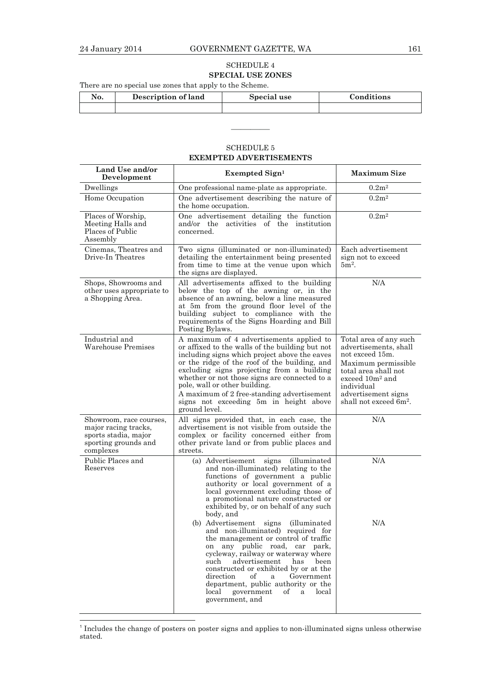# SCHEDULE 4 **SPECIAL USE ZONES**

There are no special use zones that apply to the Scheme.

| No. | Description of land | Special use | Conditions |
|-----|---------------------|-------------|------------|
|     |                     |             |            |

# SCHEDULE 5 **EXEMPTED ADVERTISEMENTS**

————

| Land Use and/or<br>Development                                                                               | Exempted Sign <sup>1</sup>                                                                                                                                                                                                                                                                                                                                                                                                             | <b>Maximum Size</b>                                                                                                                                                                                   |
|--------------------------------------------------------------------------------------------------------------|----------------------------------------------------------------------------------------------------------------------------------------------------------------------------------------------------------------------------------------------------------------------------------------------------------------------------------------------------------------------------------------------------------------------------------------|-------------------------------------------------------------------------------------------------------------------------------------------------------------------------------------------------------|
| Dwellings                                                                                                    | One professional name-plate as appropriate.                                                                                                                                                                                                                                                                                                                                                                                            | 0.2m <sup>2</sup>                                                                                                                                                                                     |
| Home Occupation                                                                                              | One advertisement describing the nature of<br>the home occupation.                                                                                                                                                                                                                                                                                                                                                                     | 0.2m <sup>2</sup>                                                                                                                                                                                     |
| Places of Worship,<br>Meeting Halls and<br>Places of Public<br>Assembly                                      | One advertisement detailing the function<br>and/or the activities of the institution<br>concerned.                                                                                                                                                                                                                                                                                                                                     | 0.2m <sup>2</sup>                                                                                                                                                                                     |
| Cinemas, Theatres and<br>Drive-In Theatres                                                                   | Two signs (illuminated or non-illuminated)<br>detailing the entertainment being presented<br>from time to time at the venue upon which<br>the signs are displayed.                                                                                                                                                                                                                                                                     | Each advertisement<br>sign not to exceed<br>$5m2$ .                                                                                                                                                   |
| Shops, Showrooms and<br>other uses appropriate to<br>a Shopping Area.                                        | All advertisements affixed to the building<br>below the top of the awning or, in the<br>absence of an awning, below a line measured<br>at 5m from the ground floor level of the<br>building subject to compliance with the<br>requirements of the Signs Hoarding and Bill<br>Posting Bylaws.                                                                                                                                           | N/A                                                                                                                                                                                                   |
| Industrial and<br>Warehouse Premises                                                                         | A maximum of 4 advertisements applied to<br>or affixed to the walls of the building but not<br>including signs which project above the eaves<br>or the ridge of the roof of the building, and<br>excluding signs projecting from a building<br>whether or not those signs are connected to a<br>pole, wall or other building.<br>A maximum of 2 free-standing advertisement<br>signs not exceeding 5m in height above<br>ground level. | Total area of any such<br>advertisements, shall<br>not exceed 15m.<br>Maximum permissible<br>total area shall not<br>exceed $10m^2$ and<br>individual<br>advertisement signs<br>shall not exceed 6m². |
| Showroom, race courses,<br>major racing tracks,<br>sports stadia, major<br>sporting grounds and<br>complexes | All signs provided that, in each case, the<br>advertisement is not visible from outside the<br>complex or facility concerned either from<br>other private land or from public places and<br>streets.                                                                                                                                                                                                                                   | N/A                                                                                                                                                                                                   |
| Public Places and<br>Reserves                                                                                | (a) Advertisement signs<br><i>(illuminated)</i><br>and non-illuminated) relating to the<br>functions of government a public<br>authority or local government of a<br>local government excluding those of<br>a promotional nature constructed or<br>exhibited by, or on behalf of any such<br>body, and<br>(b) Advertisement<br>signs<br><i>(illuminated)</i>                                                                           | N/A<br>N/A                                                                                                                                                                                            |
|                                                                                                              | and non-illuminated) required for<br>the management or control of traffic<br>any public road, car park,<br>on<br>cycleway, railway or waterway where<br>advertisement<br>such<br>has<br>been<br>constructed or exhibited by or at the<br>direction<br>Government<br>оf<br>a<br>department, public authority or the<br>of<br>local<br>local<br>government<br>a<br>government, and                                                       |                                                                                                                                                                                                       |

<sup>&</sup>lt;sup>1</sup> Includes the change of posters on poster signs and applies to non-illuminated signs unless otherwise stated.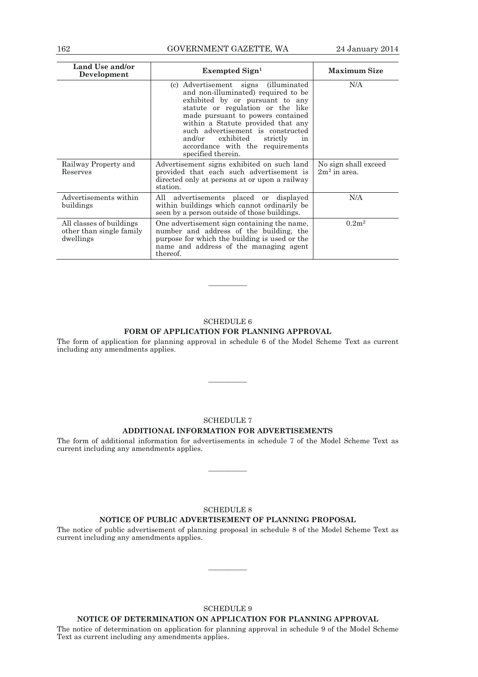# 162 GOVERNMENT GAZETTE, WA 24 January 2014

| Land Use and/or<br>Development                                    | $Exempted Sign1$                                                                                                                                                                                                                                                                                                                                                       | <b>Maximum Size</b>                    |
|-------------------------------------------------------------------|------------------------------------------------------------------------------------------------------------------------------------------------------------------------------------------------------------------------------------------------------------------------------------------------------------------------------------------------------------------------|----------------------------------------|
|                                                                   | (c) Advertisement signs (illuminated<br>and non-illuminated) required to be<br>exhibited by or pursuant to any<br>statute or regulation or the like<br>made pursuant to powers contained<br>within a Statute provided that any<br>such advertisement is constructed<br>exhibited<br>and/or<br>strictly<br>in<br>accordance with the requirements<br>specified therein. | N/A                                    |
| Railway Property and<br>Reserves                                  | Advertisement signs exhibited on such land<br>provided that each such advertisement is<br>directed only at persons at or upon a railway<br>station.                                                                                                                                                                                                                    | No sign shall exceed<br>$2m2$ in area. |
| Advertisements within<br>buildings                                | All advertisements placed or displayed<br>within buildings which cannot ordinarily be<br>seen by a person outside of those buildings.                                                                                                                                                                                                                                  | N/A                                    |
| All classes of buildings<br>other than single family<br>dwellings | One advertisement sign containing the name,<br>number and address of the building, the<br>purpose for which the building is used or the<br>name and address of the managing agent<br>thereof.                                                                                                                                                                          | 0.2m <sup>2</sup>                      |

# SCHEDULE 6 **FORM OF APPLICATION FOR PLANNING APPROVAL**

————

The form of application for planning approval in schedule 6 of the Model Scheme Text as current including any amendments applies.

————

# SCHEDULE 7

# **ADDITIONAL INFORMATION FOR ADVERTISEMENTS**

The form of additional information for advertisements in schedule 7 of the Model Scheme Text as current including any amendments applies.

————

## SCHEDULE 8

# **NOTICE OF PUBLIC ADVERTISEMENT OF PLANNING PROPOSAL**

The notice of public advertisement of planning proposal in schedule 8 of the Model Scheme Text as current including any amendments applies.

————

# SCHEDULE 9

# **NOTICE OF DETERMINATION ON APPLICATION FOR PLANNING APPROVAL**

The notice of determination on application for planning approval in schedule 9 of the Model Scheme Text as current including any amendments applies.